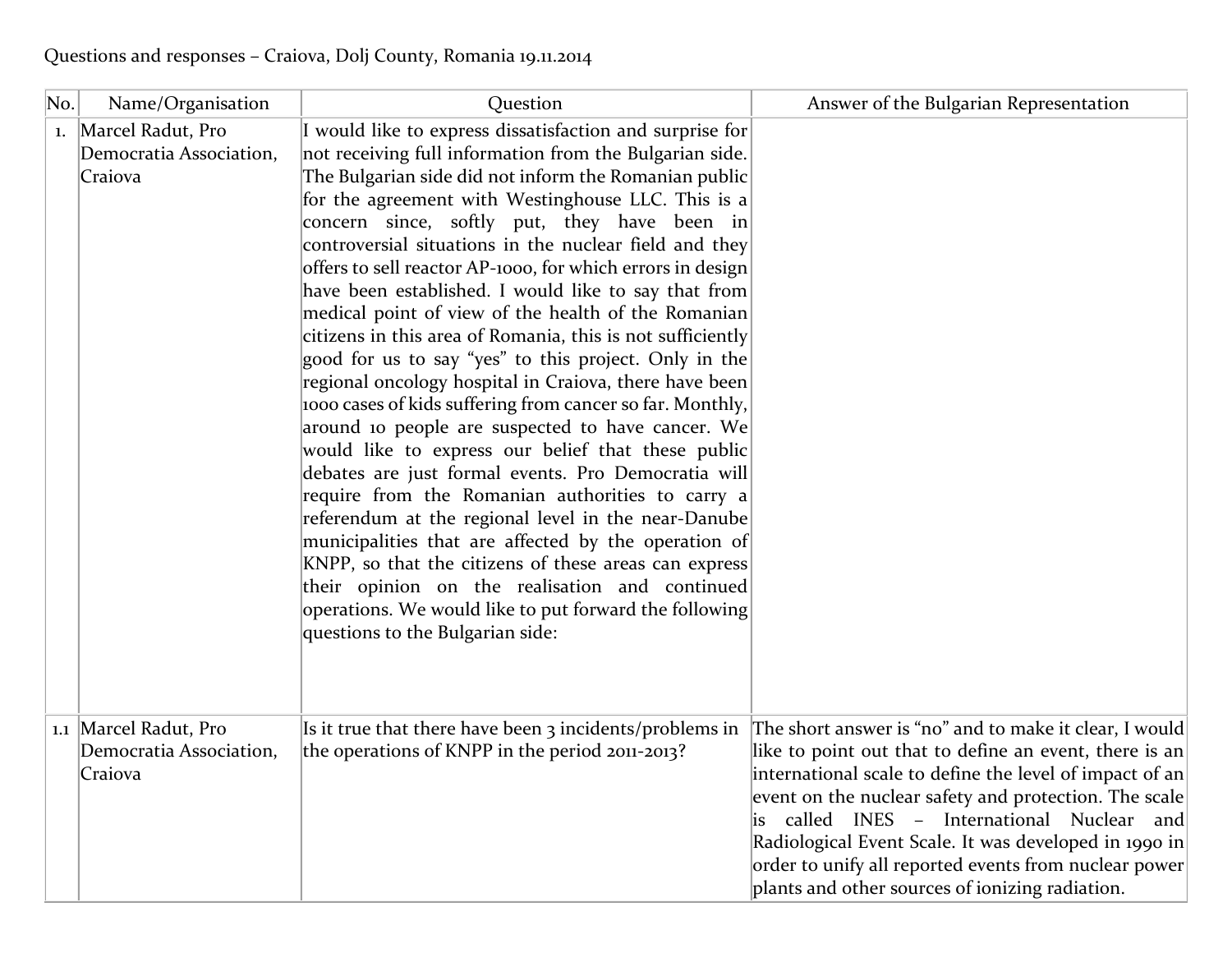| No. | Name/Organisation                                           | Question                                                                                                                                                                                                                                                                                                                                                                                                                                                                                                                                                                                                                                                                                                                                                                                                                                                                                                                                                                                                                                                                                                                                                                                                                                                                                                              | Answer of the Bulgarian Representation                                                                                                                                                                                                                                                                                                                                                                                                               |
|-----|-------------------------------------------------------------|-----------------------------------------------------------------------------------------------------------------------------------------------------------------------------------------------------------------------------------------------------------------------------------------------------------------------------------------------------------------------------------------------------------------------------------------------------------------------------------------------------------------------------------------------------------------------------------------------------------------------------------------------------------------------------------------------------------------------------------------------------------------------------------------------------------------------------------------------------------------------------------------------------------------------------------------------------------------------------------------------------------------------------------------------------------------------------------------------------------------------------------------------------------------------------------------------------------------------------------------------------------------------------------------------------------------------|------------------------------------------------------------------------------------------------------------------------------------------------------------------------------------------------------------------------------------------------------------------------------------------------------------------------------------------------------------------------------------------------------------------------------------------------------|
|     | 1. Marcel Radut, Pro<br>Democratia Association,<br>Craiova  | I would like to express dissatisfaction and surprise for<br>not receiving full information from the Bulgarian side.<br>The Bulgarian side did not inform the Romanian public<br>for the agreement with Westinghouse LLC. This is a<br>concern since, softly put, they have been in<br>controversial situations in the nuclear field and they<br>offers to sell reactor AP-1000, for which errors in design<br>have been established. I would like to say that from<br>medical point of view of the health of the Romanian<br>citizens in this area of Romania, this is not sufficiently<br>good for us to say "yes" to this project. Only in the<br>regional oncology hospital in Craiova, there have been<br>1000 cases of kids suffering from cancer so far. Monthly,<br>around 10 people are suspected to have cancer. We<br>would like to express our belief that these public<br>debates are just formal events. Pro Democratia will<br>require from the Romanian authorities to carry a<br>referendum at the regional level in the near-Danube<br>municipalities that are affected by the operation of<br>KNPP, so that the citizens of these areas can express<br>their opinion on the realisation and continued<br>operations. We would like to put forward the following<br>questions to the Bulgarian side: |                                                                                                                                                                                                                                                                                                                                                                                                                                                      |
|     | 1.1 Marcel Radut, Pro<br>Democratia Association,<br>Craiova | Is it true that there have been 3 incidents/problems in<br>the operations of KNPP in the period 2011-2013?                                                                                                                                                                                                                                                                                                                                                                                                                                                                                                                                                                                                                                                                                                                                                                                                                                                                                                                                                                                                                                                                                                                                                                                                            | The short answer is "no" and to make it clear, I would<br>like to point out that to define an event, there is an<br>international scale to define the level of impact of an<br>event on the nuclear safety and protection. The scale<br>called INES - International Nuclear and<br>Radiological Event Scale. It was developed in 1990 in<br>order to unify all reported events from nuclear power<br>plants and other sources of ionizing radiation. |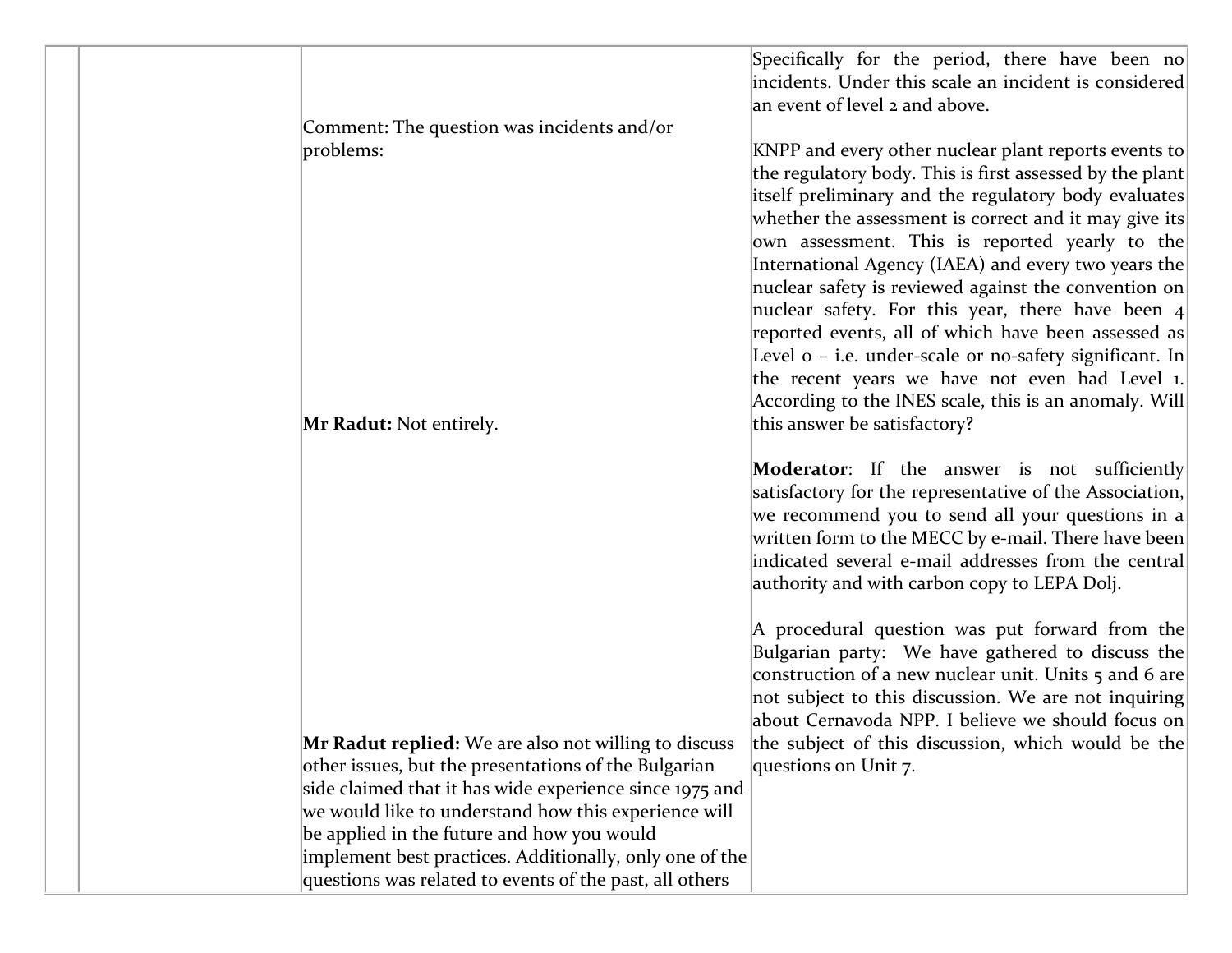|                                                         | Specifically for the period, there have been no<br>incidents. Under this scale an incident is considered<br>an event of level 2 and above.                                                                                                                                                                                                                                                                                                                                                                                                                                                                                                                                              |
|---------------------------------------------------------|-----------------------------------------------------------------------------------------------------------------------------------------------------------------------------------------------------------------------------------------------------------------------------------------------------------------------------------------------------------------------------------------------------------------------------------------------------------------------------------------------------------------------------------------------------------------------------------------------------------------------------------------------------------------------------------------|
| Comment: The question was incidents and/or              |                                                                                                                                                                                                                                                                                                                                                                                                                                                                                                                                                                                                                                                                                         |
| problems:                                               | KNPP and every other nuclear plant reports events to<br>the regulatory body. This is first assessed by the plant<br>itself preliminary and the regulatory body evaluates<br>whether the assessment is correct and it may give its<br>own assessment. This is reported yearly to the<br>International Agency (IAEA) and every two years the<br>nuclear safety is reviewed against the convention on<br>nuclear safety. For this year, there have been $ 4 $<br>reported events, all of which have been assessed as<br>Level o – i.e. under-scale or no-safety significant. In<br>the recent years we have not even had Level 1.<br>According to the INES scale, this is an anomaly. Will |
| <b>Mr Radut:</b> Not entirely.                          | this answer be satisfactory?                                                                                                                                                                                                                                                                                                                                                                                                                                                                                                                                                                                                                                                            |
|                                                         | <b>Moderator</b> : If the answer is not sufficiently<br>satisfactory for the representative of the Association,<br>we recommend you to send all your questions in a<br>written form to the MECC by e-mail. There have been<br>indicated several e-mail addresses from the central<br>authority and with carbon copy to LEPA Dolj.                                                                                                                                                                                                                                                                                                                                                       |
|                                                         | A procedural question was put forward from the<br>Bulgarian party: We have gathered to discuss the<br>construction of a new nuclear unit. Units 5 and 6 are<br>not subject to this discussion. We are not inquiring<br>about Cernavoda NPP. I believe we should focus on                                                                                                                                                                                                                                                                                                                                                                                                                |
| Mr Radut replied: We are also not willing to discuss    | the subject of this discussion, which would be the                                                                                                                                                                                                                                                                                                                                                                                                                                                                                                                                                                                                                                      |
| other issues, but the presentations of the Bulgarian    | questions on Unit 7.                                                                                                                                                                                                                                                                                                                                                                                                                                                                                                                                                                                                                                                                    |
| side claimed that it has wide experience since 1975 and |                                                                                                                                                                                                                                                                                                                                                                                                                                                                                                                                                                                                                                                                                         |
| we would like to understand how this experience will    |                                                                                                                                                                                                                                                                                                                                                                                                                                                                                                                                                                                                                                                                                         |
| be applied in the future and how you would              |                                                                                                                                                                                                                                                                                                                                                                                                                                                                                                                                                                                                                                                                                         |
| implement best practices. Additionally, only one of the |                                                                                                                                                                                                                                                                                                                                                                                                                                                                                                                                                                                                                                                                                         |
| questions was related to events of the past, all others |                                                                                                                                                                                                                                                                                                                                                                                                                                                                                                                                                                                                                                                                                         |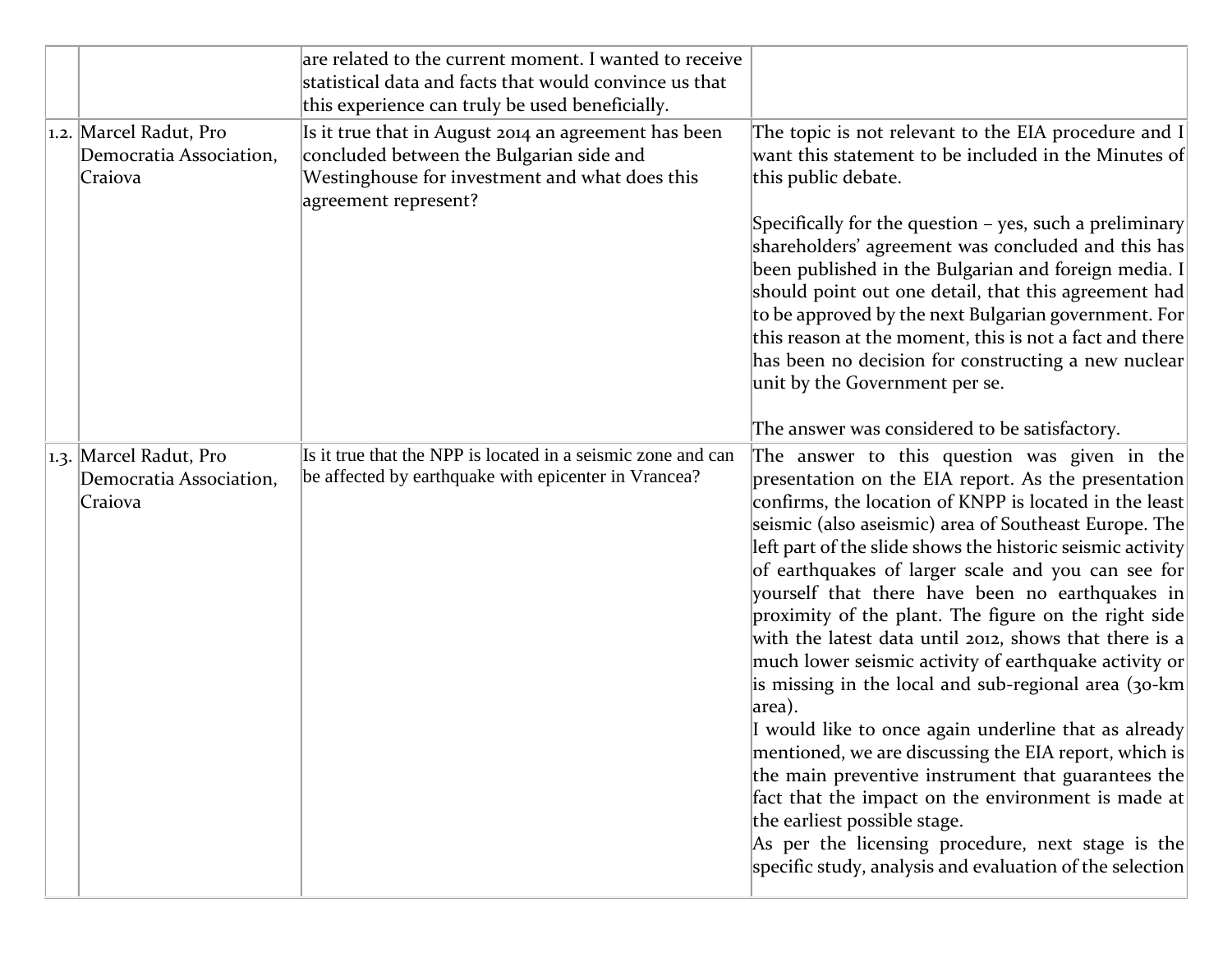|  |                                                              | are related to the current moment. I wanted to receive<br>statistical data and facts that would convince us that<br>this experience can truly be used beneficially.        |                                                                                                                                                                                                                                                                                                                                                                                                                                                                                                                                                                                                                                                                                                                                                                                                                                                                                                                                                                                                                          |
|--|--------------------------------------------------------------|----------------------------------------------------------------------------------------------------------------------------------------------------------------------------|--------------------------------------------------------------------------------------------------------------------------------------------------------------------------------------------------------------------------------------------------------------------------------------------------------------------------------------------------------------------------------------------------------------------------------------------------------------------------------------------------------------------------------------------------------------------------------------------------------------------------------------------------------------------------------------------------------------------------------------------------------------------------------------------------------------------------------------------------------------------------------------------------------------------------------------------------------------------------------------------------------------------------|
|  | 1.2. Marcel Radut, Pro<br>Democratia Association,<br>Craiova | Is it true that in August 2014 an agreement has been<br>concluded between the Bulgarian side and<br>Westinghouse for investment and what does this<br>agreement represent? | The topic is not relevant to the EIA procedure and I<br>want this statement to be included in the Minutes of<br>this public debate.                                                                                                                                                                                                                                                                                                                                                                                                                                                                                                                                                                                                                                                                                                                                                                                                                                                                                      |
|  |                                                              |                                                                                                                                                                            | Specifically for the question – yes, such a preliminary<br>shareholders' agreement was concluded and this has<br>been published in the Bulgarian and foreign media. I<br>should point out one detail, that this agreement had<br>to be approved by the next Bulgarian government. For<br>this reason at the moment, this is not a fact and there<br>has been no decision for constructing a new nuclear<br>unit by the Government per se.<br>The answer was considered to be satisfactory.                                                                                                                                                                                                                                                                                                                                                                                                                                                                                                                               |
|  | 1.3. Marcel Radut, Pro<br>Democratia Association,<br>Craiova | Is it true that the NPP is located in a seismic zone and can<br>be affected by earthquake with epicenter in Vrancea?                                                       | The answer to this question was given in the<br>presentation on the EIA report. As the presentation<br>confirms, the location of KNPP is located in the least<br>seismic (also aseismic) area of Southeast Europe. The<br>left part of the slide shows the historic seismic activity<br>of earthquakes of larger scale and you can see for<br>yourself that there have been no earthquakes in<br>proximity of the plant. The figure on the right side<br>with the latest data until 2012, shows that there is a<br>much lower seismic activity of earthquake activity or<br>is missing in the local and sub-regional area (30-km<br>area).<br>I would like to once again underline that as already<br>mentioned, we are discussing the EIA report, which is<br>the main preventive instrument that guarantees the<br>fact that the impact on the environment is made at<br>the earliest possible stage.<br>As per the licensing procedure, next stage is the<br>specific study, analysis and evaluation of the selection |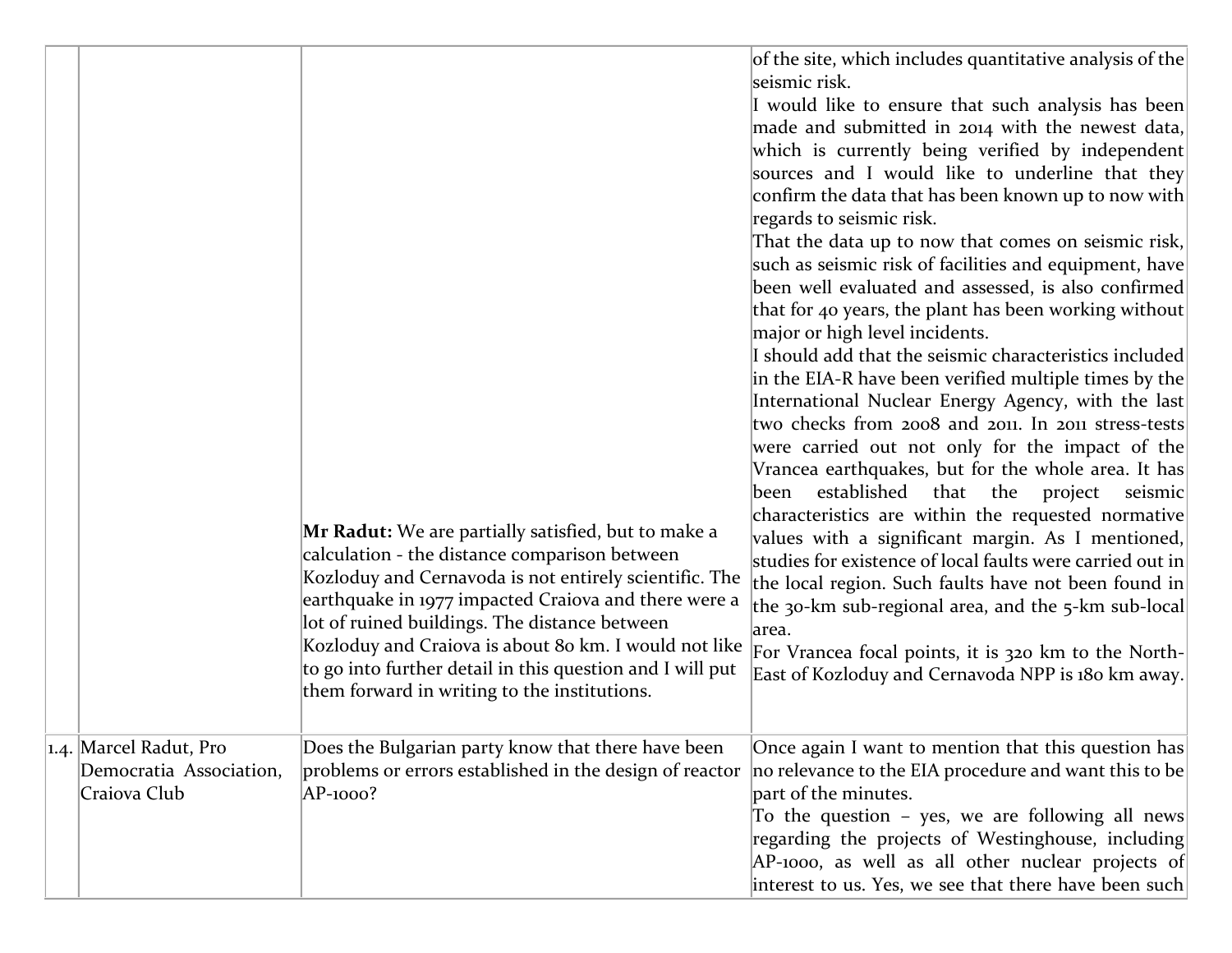|                                                                   | <b>Mr Radut:</b> We are partially satisfied, but to make a<br>calculation - the distance comparison between<br>Kozloduy and Cernavoda is not entirely scientific. The<br>earthquake in 1977 impacted Craiova and there were a<br>lot of ruined buildings. The distance between<br>Kozloduy and Craiova is about 80 km. I would not like<br>to go into further detail in this question and I will put<br>them forward in writing to the institutions. | of the site, which includes quantitative analysis of the<br>seismic risk.<br>I would like to ensure that such analysis has been<br>made and submitted in 2014 with the newest data,<br>which is currently being verified by independent<br>sources and I would like to underline that they<br>confirm the data that has been known up to now with<br>regards to seismic risk.<br>That the data up to now that comes on seismic risk,<br>such as seismic risk of facilities and equipment, have<br>been well evaluated and assessed, is also confirmed<br>that for 40 years, the plant has been working without<br>major or high level incidents.<br>I should add that the seismic characteristics included<br>in the EIA-R have been verified multiple times by the<br>International Nuclear Energy Agency, with the last<br>two checks from 2008 and 2011. In 2011 stress-tests<br>were carried out not only for the impact of the<br>Vrancea earthquakes, but for the whole area. It has<br>established that the project<br>seismic<br>been<br>characteristics are within the requested normative<br>values with a significant margin. As I mentioned,<br>studies for existence of local faults were carried out in<br>the local region. Such faults have not been found in<br>the 30-km sub-regional area, and the 5-km sub-local<br>area.<br>For Vrancea focal points, it is 320 km to the North-<br>East of Kozloduy and Cernavoda NPP is 180 km away. |
|-------------------------------------------------------------------|------------------------------------------------------------------------------------------------------------------------------------------------------------------------------------------------------------------------------------------------------------------------------------------------------------------------------------------------------------------------------------------------------------------------------------------------------|-------------------------------------------------------------------------------------------------------------------------------------------------------------------------------------------------------------------------------------------------------------------------------------------------------------------------------------------------------------------------------------------------------------------------------------------------------------------------------------------------------------------------------------------------------------------------------------------------------------------------------------------------------------------------------------------------------------------------------------------------------------------------------------------------------------------------------------------------------------------------------------------------------------------------------------------------------------------------------------------------------------------------------------------------------------------------------------------------------------------------------------------------------------------------------------------------------------------------------------------------------------------------------------------------------------------------------------------------------------------------------------------------------------------------------------------------------------|
| 1.4. Marcel Radut, Pro<br>Democratia Association,<br>Craiova Club | Does the Bulgarian party know that there have been<br>problems or errors established in the design of reactor<br>AP-1000?                                                                                                                                                                                                                                                                                                                            | Once again I want to mention that this question has<br>no relevance to the EIA procedure and want this to be<br>part of the minutes.<br>To the question - yes, we are following all news<br>regarding the projects of Westinghouse, including<br>AP-1000, as well as all other nuclear projects of<br>interest to us. Yes, we see that there have been such                                                                                                                                                                                                                                                                                                                                                                                                                                                                                                                                                                                                                                                                                                                                                                                                                                                                                                                                                                                                                                                                                                 |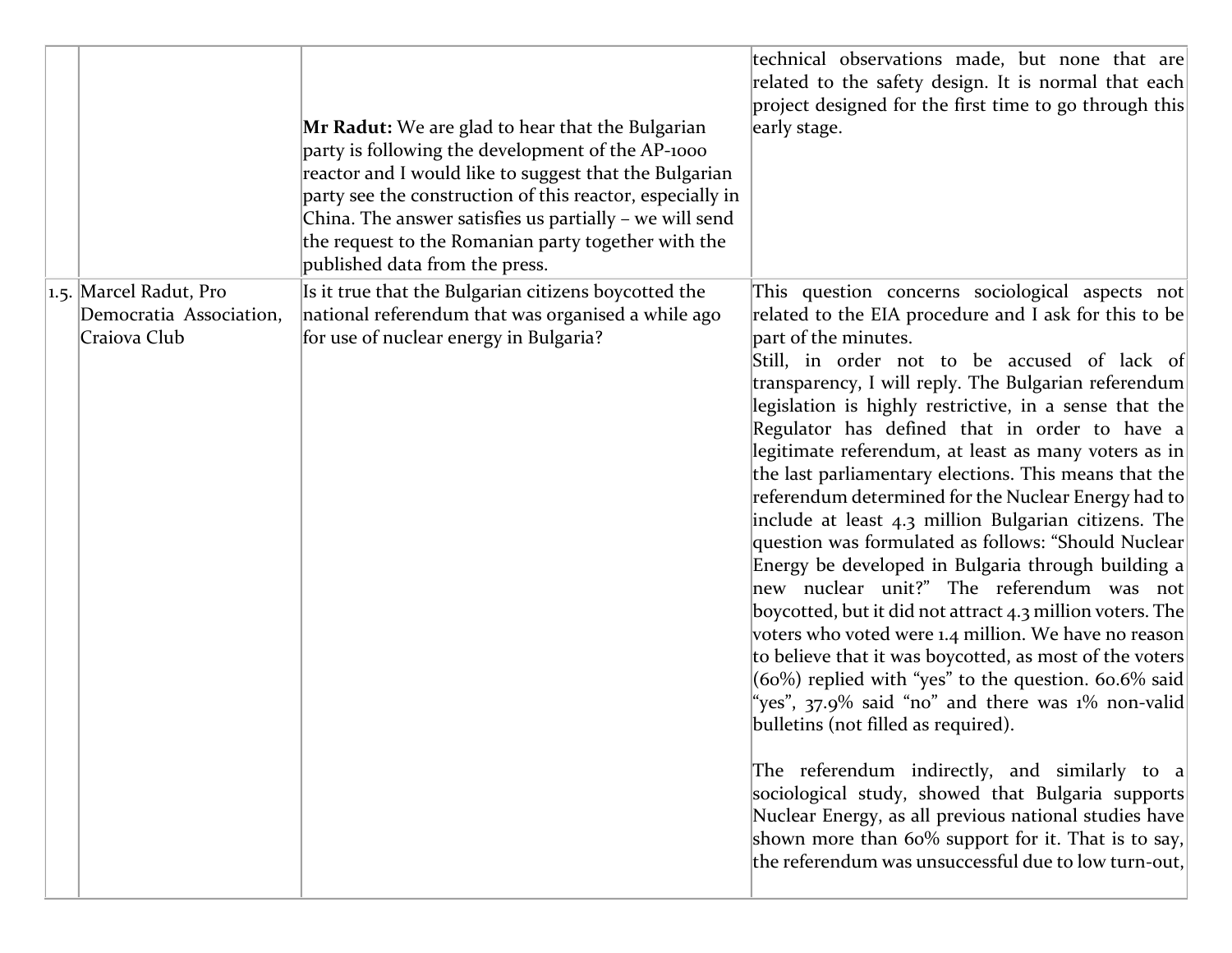|                                         | Mr Radut: We are glad to hear that the Bulgarian<br>party is following the development of the AP-1000<br>reactor and I would like to suggest that the Bulgarian<br>party see the construction of this reactor, especially in<br>China. The answer satisfies us partially - we will send<br>the request to the Romanian party together with the<br>published data from the press. | technical observations made, but none that are<br>related to the safety design. It is normal that each<br>project designed for the first time to go through this<br>early stage.                                                                                                                                                                                                                                                                                                                                                                                                                                                                                                                                                                                                                                                                                                                                                                                                                                                                                                                                                                                                                                              |
|-----------------------------------------|----------------------------------------------------------------------------------------------------------------------------------------------------------------------------------------------------------------------------------------------------------------------------------------------------------------------------------------------------------------------------------|-------------------------------------------------------------------------------------------------------------------------------------------------------------------------------------------------------------------------------------------------------------------------------------------------------------------------------------------------------------------------------------------------------------------------------------------------------------------------------------------------------------------------------------------------------------------------------------------------------------------------------------------------------------------------------------------------------------------------------------------------------------------------------------------------------------------------------------------------------------------------------------------------------------------------------------------------------------------------------------------------------------------------------------------------------------------------------------------------------------------------------------------------------------------------------------------------------------------------------|
| 1.5. Marcel Radut, Pro                  | Is it true that the Bulgarian citizens boycotted the                                                                                                                                                                                                                                                                                                                             | This question concerns sociological aspects not                                                                                                                                                                                                                                                                                                                                                                                                                                                                                                                                                                                                                                                                                                                                                                                                                                                                                                                                                                                                                                                                                                                                                                               |
| Democratia Association,<br>Craiova Club | national referendum that was organised a while ago<br>for use of nuclear energy in Bulgaria?                                                                                                                                                                                                                                                                                     | related to the EIA procedure and I ask for this to be<br>part of the minutes.                                                                                                                                                                                                                                                                                                                                                                                                                                                                                                                                                                                                                                                                                                                                                                                                                                                                                                                                                                                                                                                                                                                                                 |
|                                         |                                                                                                                                                                                                                                                                                                                                                                                  | Still, in order not to be accused of lack of<br>transparency, I will reply. The Bulgarian referendum<br>legislation is highly restrictive, in a sense that the<br>Regulator has defined that in order to have a<br>legitimate referendum, at least as many voters as in<br>the last parliamentary elections. This means that the<br>referendum determined for the Nuclear Energy had to<br>include at least 4.3 million Bulgarian citizens. The<br>question was formulated as follows: "Should Nuclear<br>Energy be developed in Bulgaria through building a<br>new nuclear unit?" The referendum was not<br>boycotted, but it did not attract 4.3 million voters. The<br>voters who voted were 1.4 million. We have no reason<br>to believe that it was boycotted, as most of the voters<br>$(60%)$ replied with "yes" to the question. 60.6% said<br>"yes", 37.9% said "no" and there was 1% non-valid<br>bulletins (not filled as required).<br>The referendum indirectly, and similarly to a<br>sociological study, showed that Bulgaria supports<br>Nuclear Energy, as all previous national studies have<br>shown more than 60% support for it. That is to say,<br>the referendum was unsuccessful due to low turn-out, |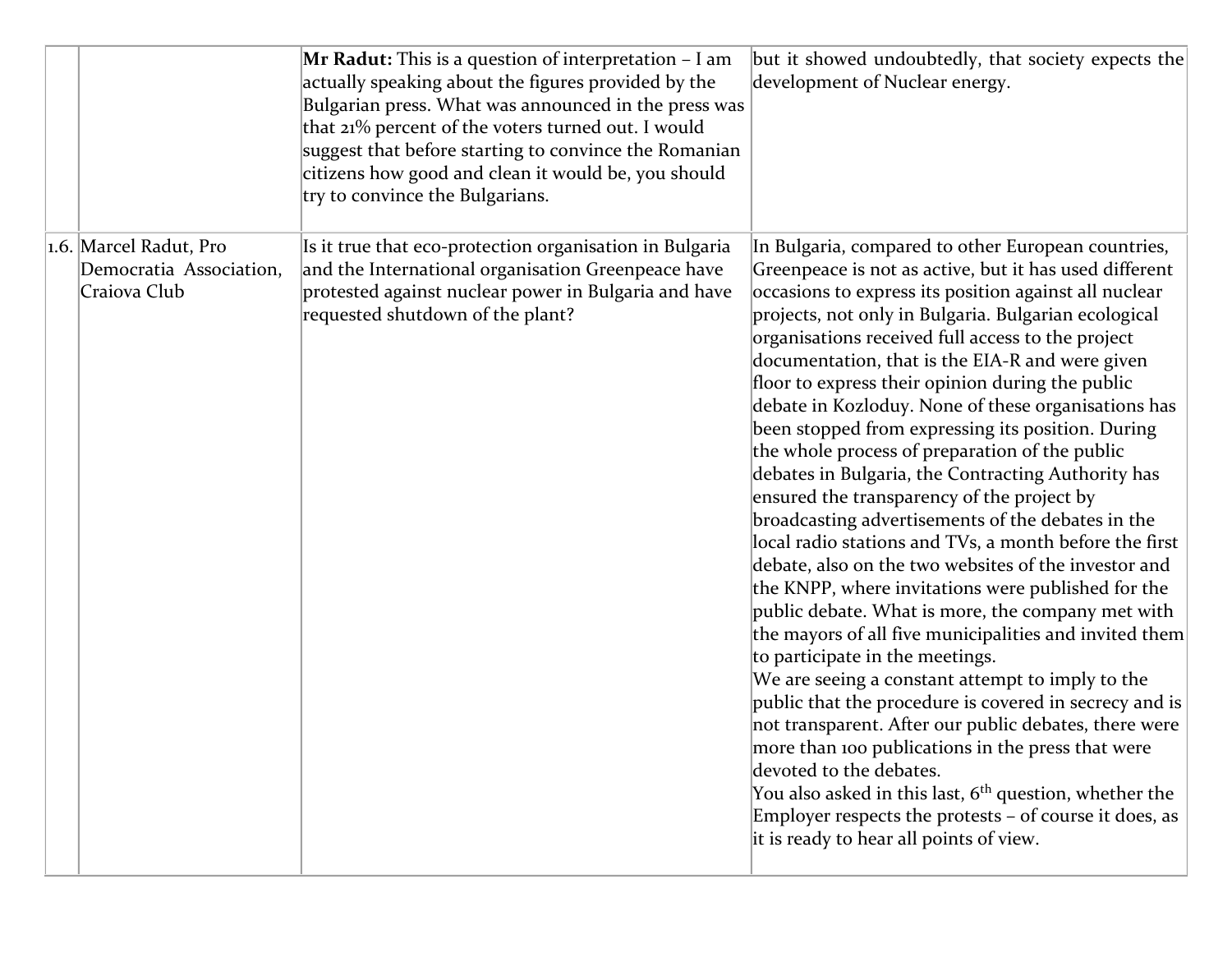|  |                                                                   | Mr Radut: This is a question of interpretation - I am<br>actually speaking about the figures provided by the<br>Bulgarian press. What was announced in the press was<br>that 21% percent of the voters turned out. I would<br>suggest that before starting to convince the Romanian<br>citizens how good and clean it would be, you should<br>try to convince the Bulgarians. | but it showed undoubtedly, that society expects the<br>development of Nuclear energy.                                                                                                                                                                                                                                                                                                                                                                                                                                                                                                                                                                                                                                                                                                                                                                                                                                                                                                                                                                                                                                                                                                                                                                                                                                                                                                                                                                                        |
|--|-------------------------------------------------------------------|-------------------------------------------------------------------------------------------------------------------------------------------------------------------------------------------------------------------------------------------------------------------------------------------------------------------------------------------------------------------------------|------------------------------------------------------------------------------------------------------------------------------------------------------------------------------------------------------------------------------------------------------------------------------------------------------------------------------------------------------------------------------------------------------------------------------------------------------------------------------------------------------------------------------------------------------------------------------------------------------------------------------------------------------------------------------------------------------------------------------------------------------------------------------------------------------------------------------------------------------------------------------------------------------------------------------------------------------------------------------------------------------------------------------------------------------------------------------------------------------------------------------------------------------------------------------------------------------------------------------------------------------------------------------------------------------------------------------------------------------------------------------------------------------------------------------------------------------------------------------|
|  | 1.6. Marcel Radut, Pro<br>Democratia Association,<br>Craiova Club | Is it true that eco-protection organisation in Bulgaria<br>and the International organisation Greenpeace have<br>protested against nuclear power in Bulgaria and have<br>requested shutdown of the plant?                                                                                                                                                                     | In Bulgaria, compared to other European countries,<br>Greenpeace is not as active, but it has used different<br>occasions to express its position against all nuclear<br>projects, not only in Bulgaria. Bulgarian ecological<br>organisations received full access to the project<br>documentation, that is the EIA-R and were given<br>floor to express their opinion during the public<br>debate in Kozloduy. None of these organisations has<br>been stopped from expressing its position. During<br>the whole process of preparation of the public<br>debates in Bulgaria, the Contracting Authority has<br>ensured the transparency of the project by<br>broadcasting advertisements of the debates in the<br>local radio stations and TVs, a month before the first<br>debate, also on the two websites of the investor and<br>the KNPP, where invitations were published for the<br>public debate. What is more, the company met with<br>the mayors of all five municipalities and invited them<br>to participate in the meetings.<br>We are seeing a constant attempt to imply to the<br>public that the procedure is covered in secrecy and is<br>not transparent. After our public debates, there were<br>more than 100 publications in the press that were<br>devoted to the debates.<br>You also asked in this last, 6 <sup>th</sup> question, whether the<br>Employer respects the protests - of course it does, as<br>it is ready to hear all points of view. |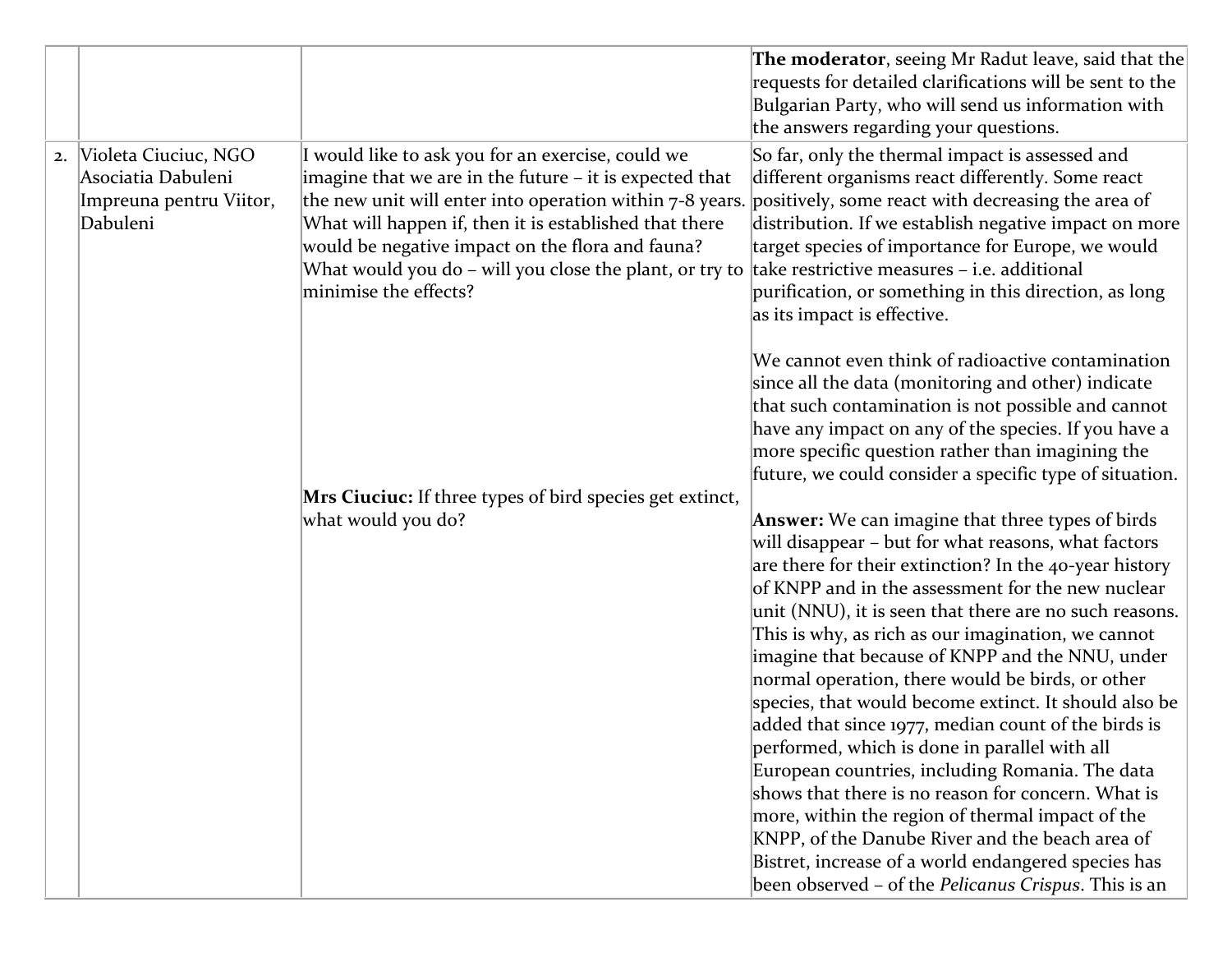|    |                                                                                   |                                                                                                                                                                                                                                                                                                                                                                            | The moderator, seeing Mr Radut leave, said that the<br>requests for detailed clarifications will be sent to the<br>Bulgarian Party, who will send us information with<br>the answers regarding your questions.                                                                                                                                                                                                                                                                                                                                                                                                                                                                                                                                                                                                                                                                                                                                       |
|----|-----------------------------------------------------------------------------------|----------------------------------------------------------------------------------------------------------------------------------------------------------------------------------------------------------------------------------------------------------------------------------------------------------------------------------------------------------------------------|------------------------------------------------------------------------------------------------------------------------------------------------------------------------------------------------------------------------------------------------------------------------------------------------------------------------------------------------------------------------------------------------------------------------------------------------------------------------------------------------------------------------------------------------------------------------------------------------------------------------------------------------------------------------------------------------------------------------------------------------------------------------------------------------------------------------------------------------------------------------------------------------------------------------------------------------------|
| 2. | Violeta Ciuciuc, NGO<br>Asociatia Dabuleni<br>Impreuna pentru Viitor,<br>Dabuleni | I would like to ask you for an exercise, could we<br>imagine that we are in the future - it is expected that<br>the new unit will enter into operation within 7-8 years.<br>What will happen if, then it is established that there<br>would be negative impact on the flora and fauna?<br>What would you do – will you close the plant, or try to<br>minimise the effects? | So far, only the thermal impact is assessed and<br>different organisms react differently. Some react<br>positively, some react with decreasing the area of<br>distribution. If we establish negative impact on more<br>target species of importance for Europe, we would<br>take restrictive measures - i.e. additional<br>purification, or something in this direction, as long<br>as its impact is effective.                                                                                                                                                                                                                                                                                                                                                                                                                                                                                                                                      |
|    |                                                                                   |                                                                                                                                                                                                                                                                                                                                                                            | We cannot even think of radioactive contamination<br>since all the data (monitoring and other) indicate<br>that such contamination is not possible and cannot<br>have any impact on any of the species. If you have a<br>more specific question rather than imagining the<br>future, we could consider a specific type of situation.                                                                                                                                                                                                                                                                                                                                                                                                                                                                                                                                                                                                                 |
|    |                                                                                   | Mrs Ciuciuc: If three types of bird species get extinct,<br>what would you do?                                                                                                                                                                                                                                                                                             | <b>Answer:</b> We can imagine that three types of birds<br>will disappear - but for what reasons, what factors<br>are there for their extinction? In the 40-year history<br>of KNPP and in the assessment for the new nuclear<br>unit (NNU), it is seen that there are no such reasons.<br>This is why, as rich as our imagination, we cannot<br>imagine that because of KNPP and the NNU, under<br>normal operation, there would be birds, or other<br>species, that would become extinct. It should also be<br>added that since 1977, median count of the birds is<br>performed, which is done in parallel with all<br>European countries, including Romania. The data<br>shows that there is no reason for concern. What is<br>more, within the region of thermal impact of the<br>KNPP, of the Danube River and the beach area of<br>Bistret, increase of a world endangered species has<br>been observed - of the Pelicanus Crispus. This is an |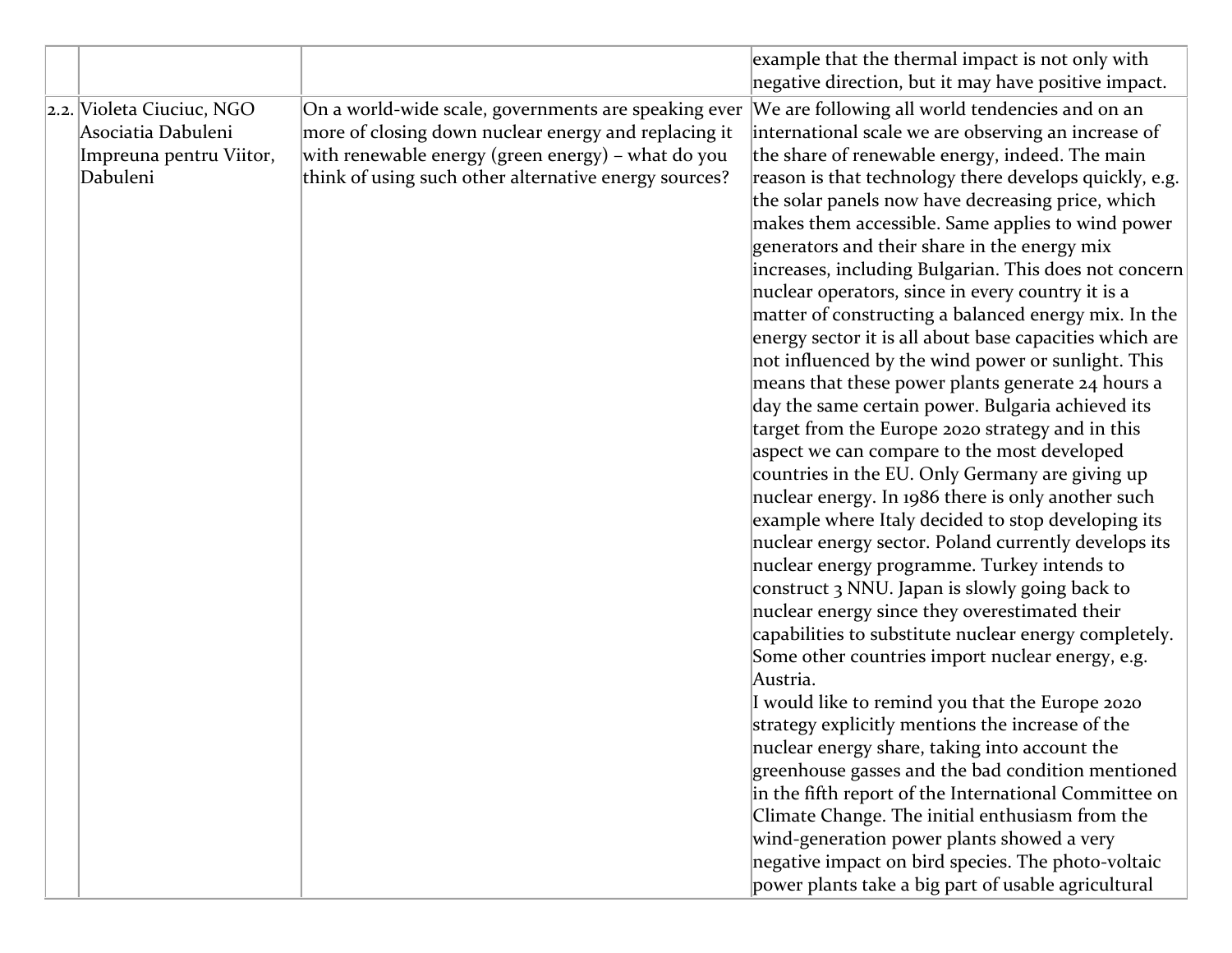|                           |                                                       | example that the thermal impact is not only with                                              |
|---------------------------|-------------------------------------------------------|-----------------------------------------------------------------------------------------------|
|                           |                                                       | negative direction, but it may have positive impact.                                          |
| 2.2. Violeta Ciuciuc, NGO | On a world-wide scale, governments are speaking ever  | We are following all world tendencies and on an                                               |
| Asociatia Dabuleni        | more of closing down nuclear energy and replacing it  | international scale we are observing an increase of                                           |
| Impreuna pentru Viitor,   | with renewable energy (green energy) – what do you    | the share of renewable energy, indeed. The main                                               |
| Dabuleni                  | think of using such other alternative energy sources? | reason is that technology there develops quickly, e.g.                                        |
|                           |                                                       | the solar panels now have decreasing price, which                                             |
|                           |                                                       | makes them accessible. Same applies to wind power                                             |
|                           |                                                       | generators and their share in the energy mix                                                  |
|                           |                                                       | increases, including Bulgarian. This does not concern                                         |
|                           |                                                       | nuclear operators, since in every country it is a                                             |
|                           |                                                       | matter of constructing a balanced energy mix. In the                                          |
|                           |                                                       | energy sector it is all about base capacities which are                                       |
|                           |                                                       | not influenced by the wind power or sunlight. This                                            |
|                           |                                                       | means that these power plants generate 24 hours a                                             |
|                           |                                                       | day the same certain power. Bulgaria achieved its                                             |
|                           |                                                       | target from the Europe 2020 strategy and in this                                              |
|                           |                                                       | aspect we can compare to the most developed                                                   |
|                           |                                                       | countries in the EU. Only Germany are giving up                                               |
|                           |                                                       | nuclear energy. In 1986 there is only another such                                            |
|                           |                                                       | example where Italy decided to stop developing its                                            |
|                           |                                                       | nuclear energy sector. Poland currently develops its                                          |
|                           |                                                       | nuclear energy programme. Turkey intends to                                                   |
|                           |                                                       | construct 3 NNU. Japan is slowly going back to                                                |
|                           |                                                       | nuclear energy since they overestimated their                                                 |
|                           |                                                       | capabilities to substitute nuclear energy completely.                                         |
|                           |                                                       | Some other countries import nuclear energy, e.g.                                              |
|                           |                                                       | Austria.                                                                                      |
|                           |                                                       | I would like to remind you that the Europe 2020                                               |
|                           |                                                       | strategy explicitly mentions the increase of the                                              |
|                           |                                                       | nuclear energy share, taking into account the                                                 |
|                           |                                                       | greenhouse gasses and the bad condition mentioned                                             |
|                           |                                                       | in the fifth report of the International Committee on                                         |
|                           |                                                       | Climate Change. The initial enthusiasm from the<br>wind-generation power plants showed a very |
|                           |                                                       | negative impact on bird species. The photo-voltaic                                            |
|                           |                                                       |                                                                                               |
|                           |                                                       | power plants take a big part of usable agricultural                                           |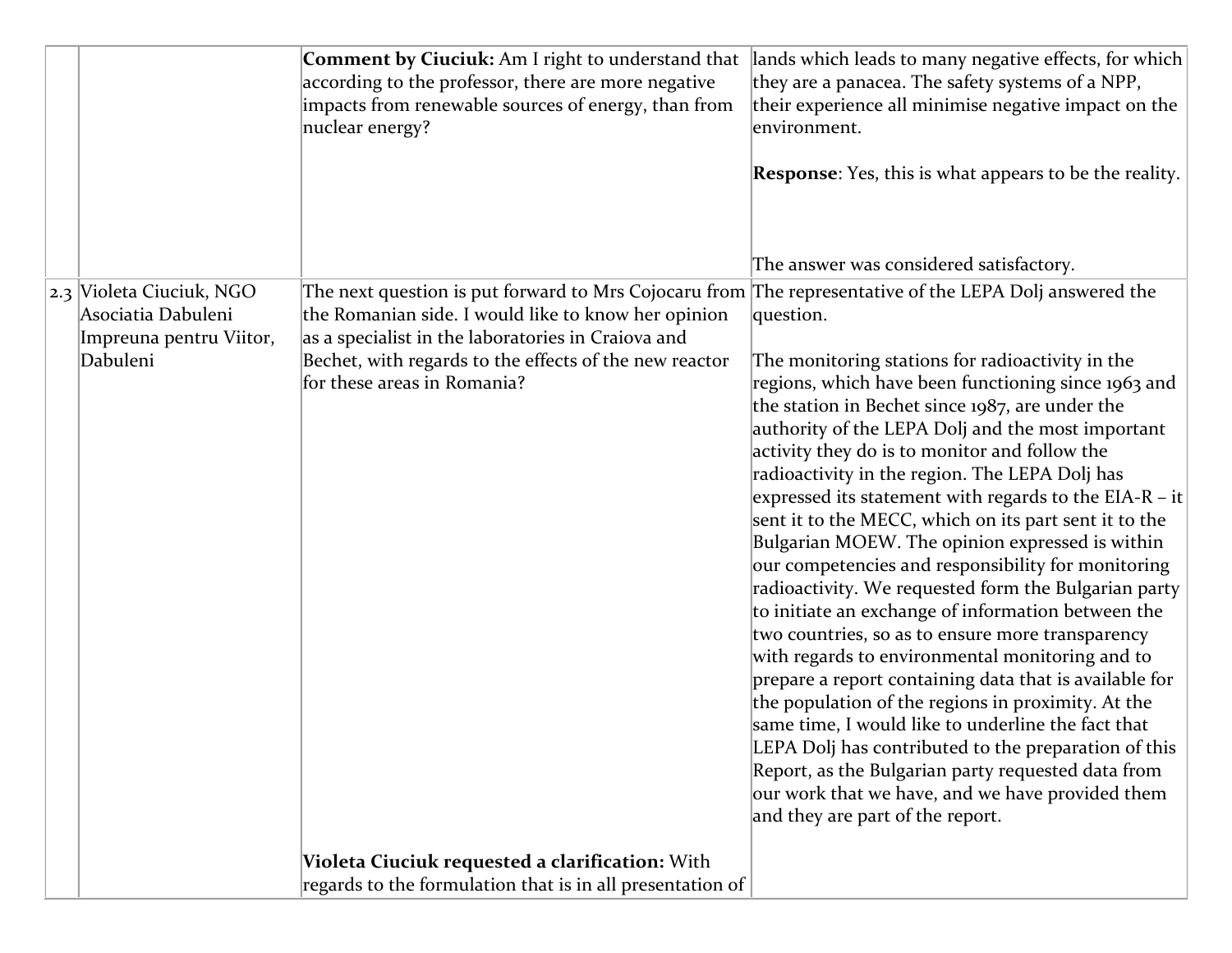|  |                          | Comment by Ciuciuk: Am I right to understand that<br>according to the professor, there are more negative<br>impacts from renewable sources of energy, than from<br>nuclear energy? | lands which leads to many negative effects, for which<br>they are a panacea. The safety systems of a NPP,<br>their experience all minimise negative impact on the<br>environment.<br><b>Response</b> : Yes, this is what appears to be the reality.<br>The answer was considered satisfactory. |
|--|--------------------------|------------------------------------------------------------------------------------------------------------------------------------------------------------------------------------|------------------------------------------------------------------------------------------------------------------------------------------------------------------------------------------------------------------------------------------------------------------------------------------------|
|  | 2.3 Violeta Ciuciuk, NGO | The next question is put forward to Mrs Cojocaru from The representative of the LEPA Dolj answered the                                                                             |                                                                                                                                                                                                                                                                                                |
|  | Asociatia Dabuleni       | the Romanian side. I would like to know her opinion                                                                                                                                | question.                                                                                                                                                                                                                                                                                      |
|  | Impreuna pentru Viitor,  | as a specialist in the laboratories in Craiova and                                                                                                                                 |                                                                                                                                                                                                                                                                                                |
|  | Dabuleni                 | Bechet, with regards to the effects of the new reactor<br>for these areas in Romania?                                                                                              | The monitoring stations for radioactivity in the<br>regions, which have been functioning since 1963 and                                                                                                                                                                                        |
|  |                          |                                                                                                                                                                                    | the station in Bechet since 1987, are under the                                                                                                                                                                                                                                                |
|  |                          |                                                                                                                                                                                    | authority of the LEPA Dolj and the most important                                                                                                                                                                                                                                              |
|  |                          |                                                                                                                                                                                    | activity they do is to monitor and follow the                                                                                                                                                                                                                                                  |
|  |                          |                                                                                                                                                                                    | radioactivity in the region. The LEPA Dolj has                                                                                                                                                                                                                                                 |
|  |                          |                                                                                                                                                                                    | expressed its statement with regards to the EIA-R – it<br>sent it to the MECC, which on its part sent it to the                                                                                                                                                                                |
|  |                          |                                                                                                                                                                                    | Bulgarian MOEW. The opinion expressed is within                                                                                                                                                                                                                                                |
|  |                          |                                                                                                                                                                                    | our competencies and responsibility for monitoring                                                                                                                                                                                                                                             |
|  |                          |                                                                                                                                                                                    | radioactivity. We requested form the Bulgarian party                                                                                                                                                                                                                                           |
|  |                          |                                                                                                                                                                                    | to initiate an exchange of information between the                                                                                                                                                                                                                                             |
|  |                          |                                                                                                                                                                                    | two countries, so as to ensure more transparency                                                                                                                                                                                                                                               |
|  |                          |                                                                                                                                                                                    | with regards to environmental monitoring and to<br>prepare a report containing data that is available for                                                                                                                                                                                      |
|  |                          |                                                                                                                                                                                    | the population of the regions in proximity. At the                                                                                                                                                                                                                                             |
|  |                          |                                                                                                                                                                                    | same time, I would like to underline the fact that                                                                                                                                                                                                                                             |
|  |                          |                                                                                                                                                                                    | LEPA Dolj has contributed to the preparation of this                                                                                                                                                                                                                                           |
|  |                          |                                                                                                                                                                                    | Report, as the Bulgarian party requested data from                                                                                                                                                                                                                                             |
|  |                          |                                                                                                                                                                                    | our work that we have, and we have provided them<br>and they are part of the report.                                                                                                                                                                                                           |
|  |                          |                                                                                                                                                                                    |                                                                                                                                                                                                                                                                                                |
|  |                          | Violeta Ciuciuk requested a clarification: With                                                                                                                                    |                                                                                                                                                                                                                                                                                                |
|  |                          | regards to the formulation that is in all presentation of                                                                                                                          |                                                                                                                                                                                                                                                                                                |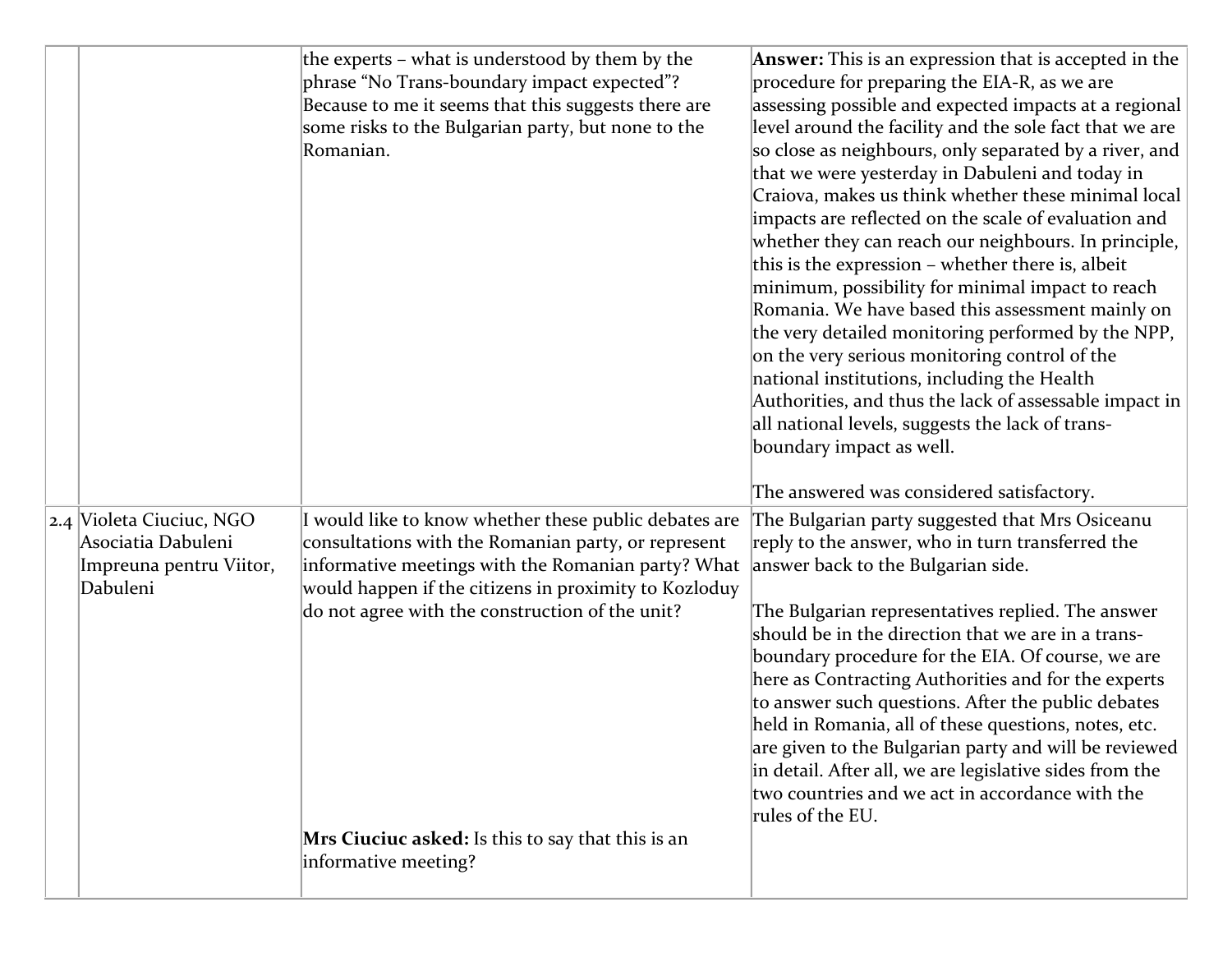|                          | the experts – what is understood by them by the<br>phrase "No Trans-boundary impact expected"? | <b>Answer:</b> This is an expression that is accepted in the<br>procedure for preparing the EIA-R, as we are |
|--------------------------|------------------------------------------------------------------------------------------------|--------------------------------------------------------------------------------------------------------------|
|                          | Because to me it seems that this suggests there are                                            | assessing possible and expected impacts at a regional                                                        |
|                          | some risks to the Bulgarian party, but none to the                                             | level around the facility and the sole fact that we are                                                      |
|                          | Romanian.                                                                                      | so close as neighbours, only separated by a river, and                                                       |
|                          |                                                                                                | that we were yesterday in Dabuleni and today in                                                              |
|                          |                                                                                                | Craiova, makes us think whether these minimal local                                                          |
|                          |                                                                                                | impacts are reflected on the scale of evaluation and                                                         |
|                          |                                                                                                | whether they can reach our neighbours. In principle,                                                         |
|                          |                                                                                                | this is the expression – whether there is, albeit                                                            |
|                          |                                                                                                | minimum, possibility for minimal impact to reach                                                             |
|                          |                                                                                                | Romania. We have based this assessment mainly on                                                             |
|                          |                                                                                                | the very detailed monitoring performed by the NPP,                                                           |
|                          |                                                                                                | on the very serious monitoring control of the                                                                |
|                          |                                                                                                | national institutions, including the Health                                                                  |
|                          |                                                                                                | Authorities, and thus the lack of assessable impact in                                                       |
|                          |                                                                                                | all national levels, suggests the lack of trans-                                                             |
|                          |                                                                                                | boundary impact as well.                                                                                     |
|                          |                                                                                                | The answered was considered satisfactory.                                                                    |
| 2.4 Violeta Ciuciuc, NGO | I would like to know whether these public debates are                                          | The Bulgarian party suggested that Mrs Osiceanu                                                              |
| Asociatia Dabuleni       | consultations with the Romanian party, or represent                                            | reply to the answer, who in turn transferred the                                                             |
| Impreuna pentru Viitor,  | informative meetings with the Romanian party? What                                             | answer back to the Bulgarian side.                                                                           |
| Dabuleni                 | would happen if the citizens in proximity to Kozloduy                                          |                                                                                                              |
|                          |                                                                                                |                                                                                                              |
|                          | do not agree with the construction of the unit?                                                | The Bulgarian representatives replied. The answer                                                            |
|                          |                                                                                                | should be in the direction that we are in a trans-                                                           |
|                          |                                                                                                | boundary procedure for the EIA. Of course, we are                                                            |
|                          |                                                                                                | here as Contracting Authorities and for the experts                                                          |
|                          |                                                                                                | to answer such questions. After the public debates                                                           |
|                          |                                                                                                | held in Romania, all of these questions, notes, etc.                                                         |
|                          |                                                                                                | are given to the Bulgarian party and will be reviewed                                                        |
|                          |                                                                                                | in detail. After all, we are legislative sides from the<br>two countries and we act in accordance with the   |
|                          |                                                                                                | rules of the EU.                                                                                             |
|                          | Mrs Ciuciuc asked: Is this to say that this is an                                              |                                                                                                              |
|                          | informative meeting?                                                                           |                                                                                                              |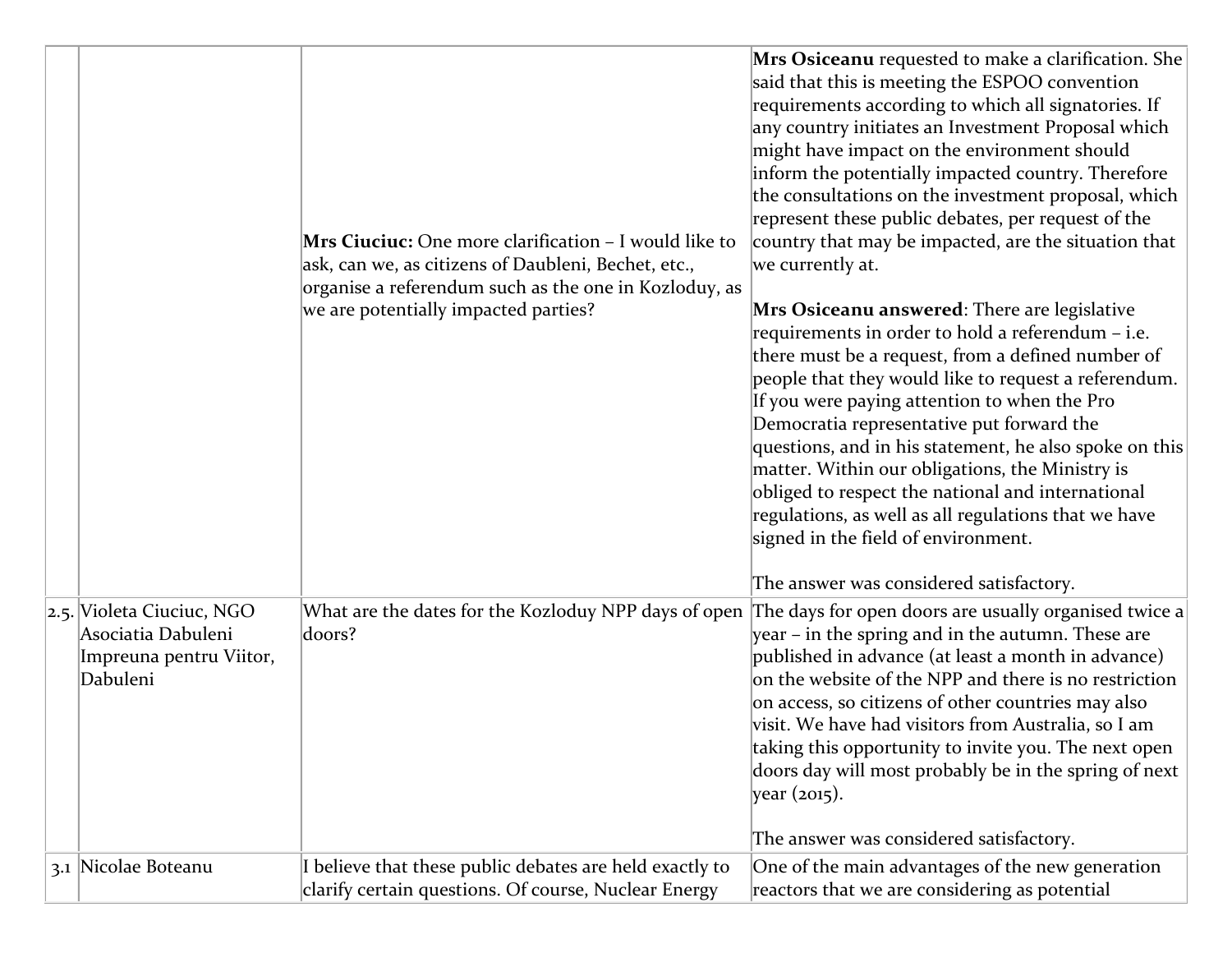|  |                                                                                        | Mrs Ciuciuc: One more clarification - I would like to<br>ask, can we, as citizens of Daubleni, Bechet, etc.,<br>organise a referendum such as the one in Kozloduy, as<br>we are potentially impacted parties? | Mrs Osiceanu requested to make a clarification. She<br>said that this is meeting the ESPOO convention<br>requirements according to which all signatories. If<br>any country initiates an Investment Proposal which<br>might have impact on the environment should<br>inform the potentially impacted country. Therefore<br>the consultations on the investment proposal, which<br>represent these public debates, per request of the<br>country that may be impacted, are the situation that<br>we currently at.<br>Mrs Osiceanu answered: There are legislative<br>requirements in order to hold a referendum - i.e.<br>there must be a request, from a defined number of<br>people that they would like to request a referendum.<br>If you were paying attention to when the Pro<br>Democratia representative put forward the<br>questions, and in his statement, he also spoke on this<br>matter. Within our obligations, the Ministry is<br>obliged to respect the national and international<br>regulations, as well as all regulations that we have<br>signed in the field of environment.<br>The answer was considered satisfactory. |
|--|----------------------------------------------------------------------------------------|---------------------------------------------------------------------------------------------------------------------------------------------------------------------------------------------------------------|---------------------------------------------------------------------------------------------------------------------------------------------------------------------------------------------------------------------------------------------------------------------------------------------------------------------------------------------------------------------------------------------------------------------------------------------------------------------------------------------------------------------------------------------------------------------------------------------------------------------------------------------------------------------------------------------------------------------------------------------------------------------------------------------------------------------------------------------------------------------------------------------------------------------------------------------------------------------------------------------------------------------------------------------------------------------------------------------------------------------------------------------|
|  | 2.5. Violeta Ciuciuc, NGO<br>Asociatia Dabuleni<br>Impreuna pentru Viitor,<br>Dabuleni | What are the dates for the Kozloduy NPP days of open<br>doors?                                                                                                                                                | The days for open doors are usually organised twice a<br>year – in the spring and in the autumn. These are<br>published in advance (at least a month in advance)<br>on the website of the NPP and there is no restriction<br>on access, so citizens of other countries may also<br>visit. We have had visitors from Australia, so I am<br>taking this opportunity to invite you. The next open<br>doors day will most probably be in the spring of next<br>year (2015).                                                                                                                                                                                                                                                                                                                                                                                                                                                                                                                                                                                                                                                                     |
|  | 3.1 Nicolae Boteanu                                                                    | I believe that these public debates are held exactly to                                                                                                                                                       | The answer was considered satisfactory.<br>One of the main advantages of the new generation                                                                                                                                                                                                                                                                                                                                                                                                                                                                                                                                                                                                                                                                                                                                                                                                                                                                                                                                                                                                                                                 |
|  |                                                                                        | clarify certain questions. Of course, Nuclear Energy                                                                                                                                                          | reactors that we are considering as potential                                                                                                                                                                                                                                                                                                                                                                                                                                                                                                                                                                                                                                                                                                                                                                                                                                                                                                                                                                                                                                                                                               |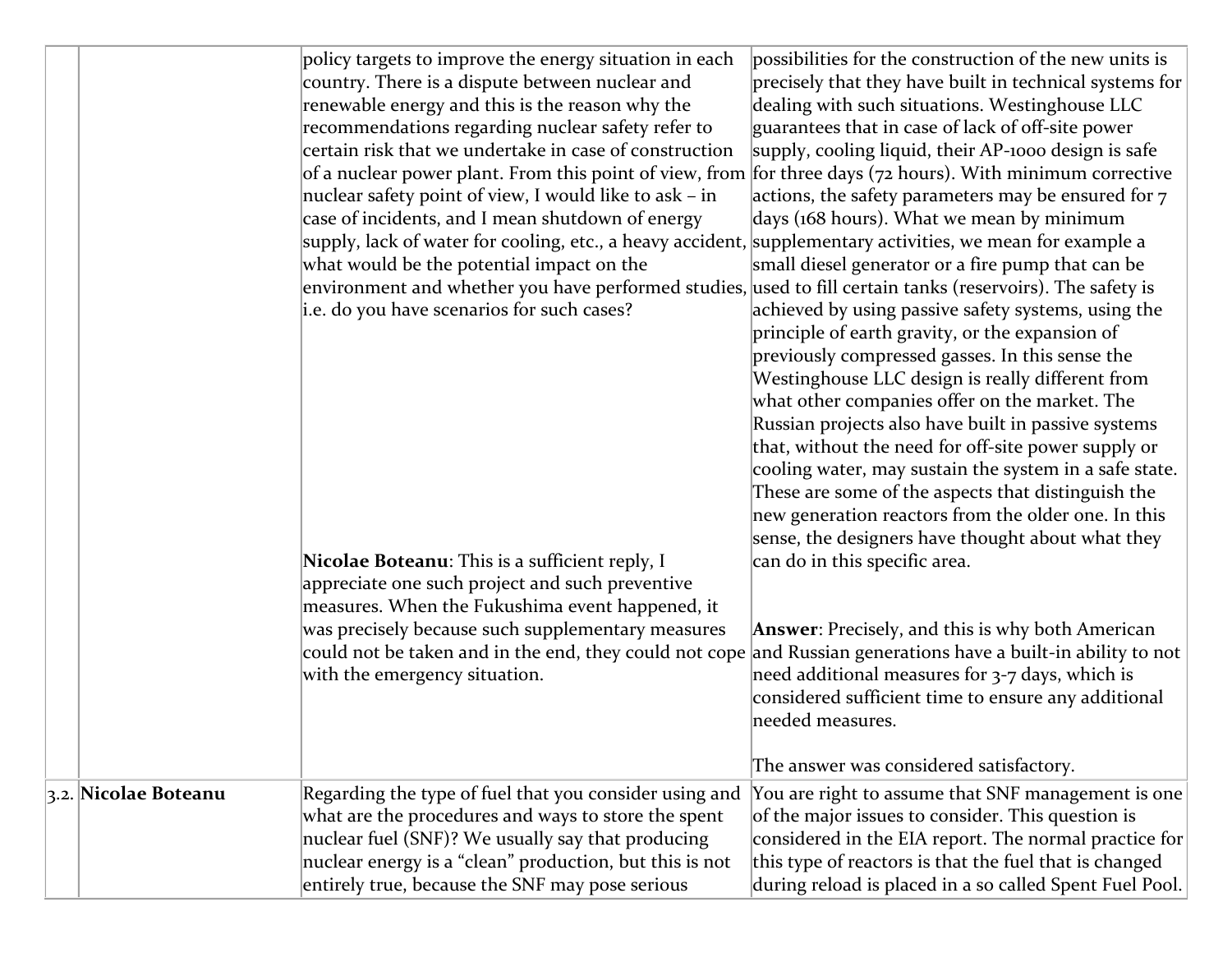|                      | policy targets to improve the energy situation in each<br>country. There is a dispute between nuclear and<br>renewable energy and this is the reason why the<br>recommendations regarding nuclear safety refer to<br>certain risk that we undertake in case of construction<br>of a nuclear power plant. From this point of view, from for three days ( $72$ hours). With minimum corrective<br>nuclear safety point of view, I would like to ask – in<br>case of incidents, and I mean shutdown of energy<br>supply, lack of water for cooling, etc., a heavy accident, supplementary activities, we mean for example a<br>what would be the potential impact on the<br>environment and whether you have performed studies, used to fill certain tanks (reservoirs). The safety is<br>i.e. do you have scenarios for such cases?<br>Nicolae Boteanu: This is a sufficient reply, I<br>appreciate one such project and such preventive<br>measures. When the Fukushima event happened, it<br>was precisely because such supplementary measures<br>could not be taken and in the end, they could not cope<br>with the emergency situation. | possibilities for the construction of the new units is<br>precisely that they have built in technical systems for<br>dealing with such situations. Westinghouse LLC<br>guarantees that in case of lack of off-site power<br>supply, cooling liquid, their AP-1000 design is safe<br>actions, the safety parameters may be ensured for $7$<br>days (168 hours). What we mean by minimum<br>small diesel generator or a fire pump that can be<br>achieved by using passive safety systems, using the<br>principle of earth gravity, or the expansion of<br>previously compressed gasses. In this sense the<br>Westinghouse LLC design is really different from<br>what other companies offer on the market. The<br>Russian projects also have built in passive systems<br>that, without the need for off-site power supply or<br>cooling water, may sustain the system in a safe state.<br>These are some of the aspects that distinguish the<br>new generation reactors from the older one. In this<br>sense, the designers have thought about what they<br>can do in this specific area.<br><b>Answer:</b> Precisely, and this is why both American<br>and Russian generations have a built-in ability to not<br>need additional measures for 3-7 days, which is<br>considered sufficient time to ensure any additional<br>needed measures.<br>The answer was considered satisfactory. |
|----------------------|-------------------------------------------------------------------------------------------------------------------------------------------------------------------------------------------------------------------------------------------------------------------------------------------------------------------------------------------------------------------------------------------------------------------------------------------------------------------------------------------------------------------------------------------------------------------------------------------------------------------------------------------------------------------------------------------------------------------------------------------------------------------------------------------------------------------------------------------------------------------------------------------------------------------------------------------------------------------------------------------------------------------------------------------------------------------------------------------------------------------------------------------|----------------------------------------------------------------------------------------------------------------------------------------------------------------------------------------------------------------------------------------------------------------------------------------------------------------------------------------------------------------------------------------------------------------------------------------------------------------------------------------------------------------------------------------------------------------------------------------------------------------------------------------------------------------------------------------------------------------------------------------------------------------------------------------------------------------------------------------------------------------------------------------------------------------------------------------------------------------------------------------------------------------------------------------------------------------------------------------------------------------------------------------------------------------------------------------------------------------------------------------------------------------------------------------------------------------------------------------------------------------------------------------|
| 3.2. Nicolae Boteanu | Regarding the type of fuel that you consider using and<br>what are the procedures and ways to store the spent<br>nuclear fuel (SNF)? We usually say that producing<br>nuclear energy is a "clean" production, but this is not<br>entirely true, because the SNF may pose serious                                                                                                                                                                                                                                                                                                                                                                                                                                                                                                                                                                                                                                                                                                                                                                                                                                                          | You are right to assume that SNF management is one<br>of the major issues to consider. This question is<br>considered in the EIA report. The normal practice for<br>this type of reactors is that the fuel that is changed<br>during reload is placed in a so called Spent Fuel Pool.                                                                                                                                                                                                                                                                                                                                                                                                                                                                                                                                                                                                                                                                                                                                                                                                                                                                                                                                                                                                                                                                                                  |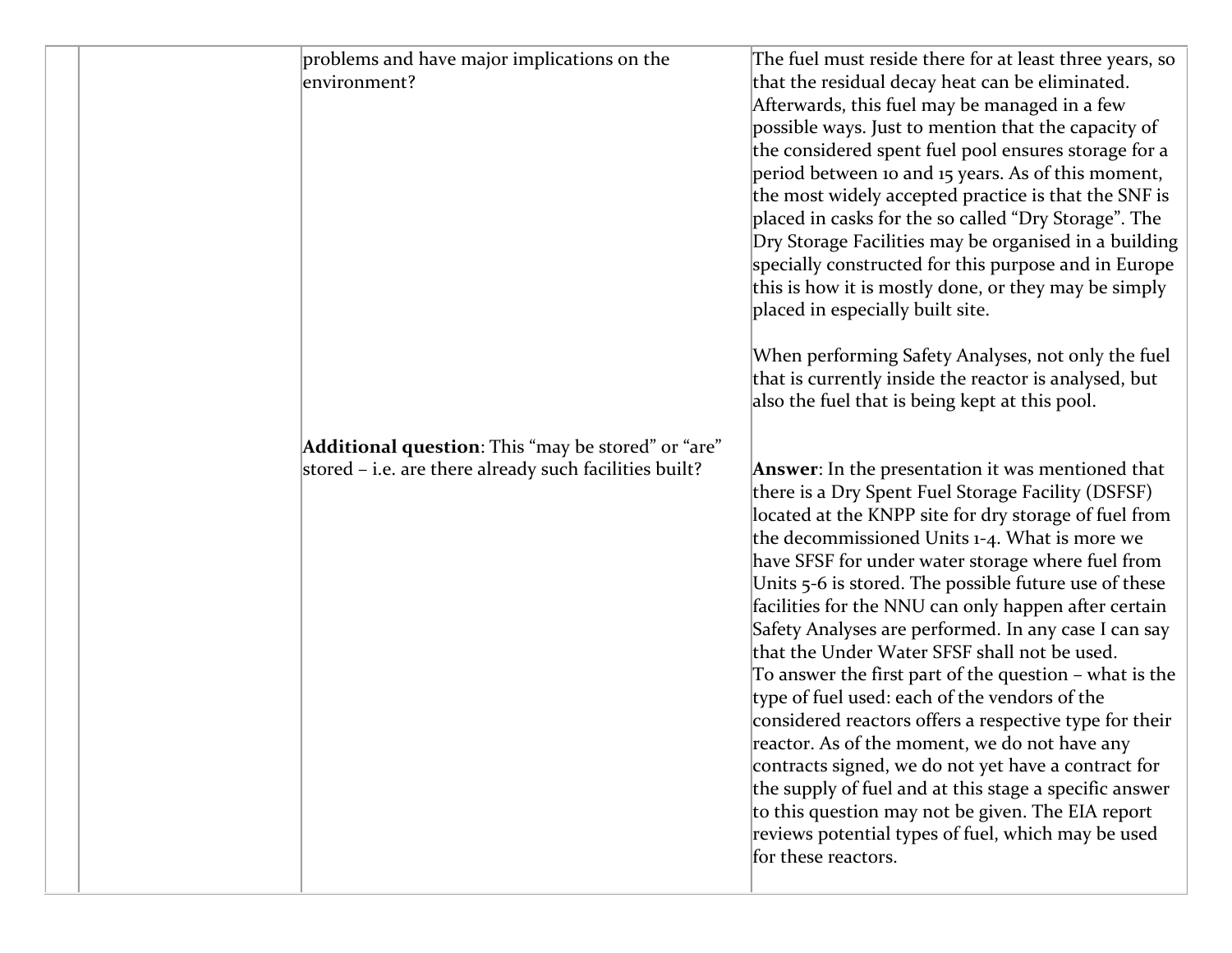|  | problems and have major implications on the<br>environment?                                                  | The fuel must reside there for at least three years, so<br>that the residual decay heat can be eliminated.<br>Afterwards, this fuel may be managed in a few<br>possible ways. Just to mention that the capacity of<br>the considered spent fuel pool ensures storage for a<br>period between 10 and 15 years. As of this moment,<br>the most widely accepted practice is that the SNF is<br>placed in casks for the so called "Dry Storage". The<br>Dry Storage Facilities may be organised in a building<br>specially constructed for this purpose and in Europe<br>this is how it is mostly done, or they may be simply<br>placed in especially built site.<br>When performing Safety Analyses, not only the fuel<br>that is currently inside the reactor is analysed, but<br>also the fuel that is being kept at this pool.                                                                                                                                           |
|--|--------------------------------------------------------------------------------------------------------------|--------------------------------------------------------------------------------------------------------------------------------------------------------------------------------------------------------------------------------------------------------------------------------------------------------------------------------------------------------------------------------------------------------------------------------------------------------------------------------------------------------------------------------------------------------------------------------------------------------------------------------------------------------------------------------------------------------------------------------------------------------------------------------------------------------------------------------------------------------------------------------------------------------------------------------------------------------------------------|
|  | Additional question: This "may be stored" or "are"<br>stored - i.e. are there already such facilities built? | Answer: In the presentation it was mentioned that<br>there is a Dry Spent Fuel Storage Facility (DSFSF)<br>located at the KNPP site for dry storage of fuel from<br>the decommissioned Units 1-4. What is more we<br>have SFSF for under water storage where fuel from<br>Units 5-6 is stored. The possible future use of these<br>facilities for the NNU can only happen after certain<br>Safety Analyses are performed. In any case I can say<br>that the Under Water SFSF shall not be used.<br>To answer the first part of the question - what is the<br>type of fuel used: each of the vendors of the<br>considered reactors offers a respective type for their<br>reactor. As of the moment, we do not have any<br>contracts signed, we do not yet have a contract for<br>the supply of fuel and at this stage a specific answer<br>to this question may not be given. The EIA report<br>reviews potential types of fuel, which may be used<br>for these reactors. |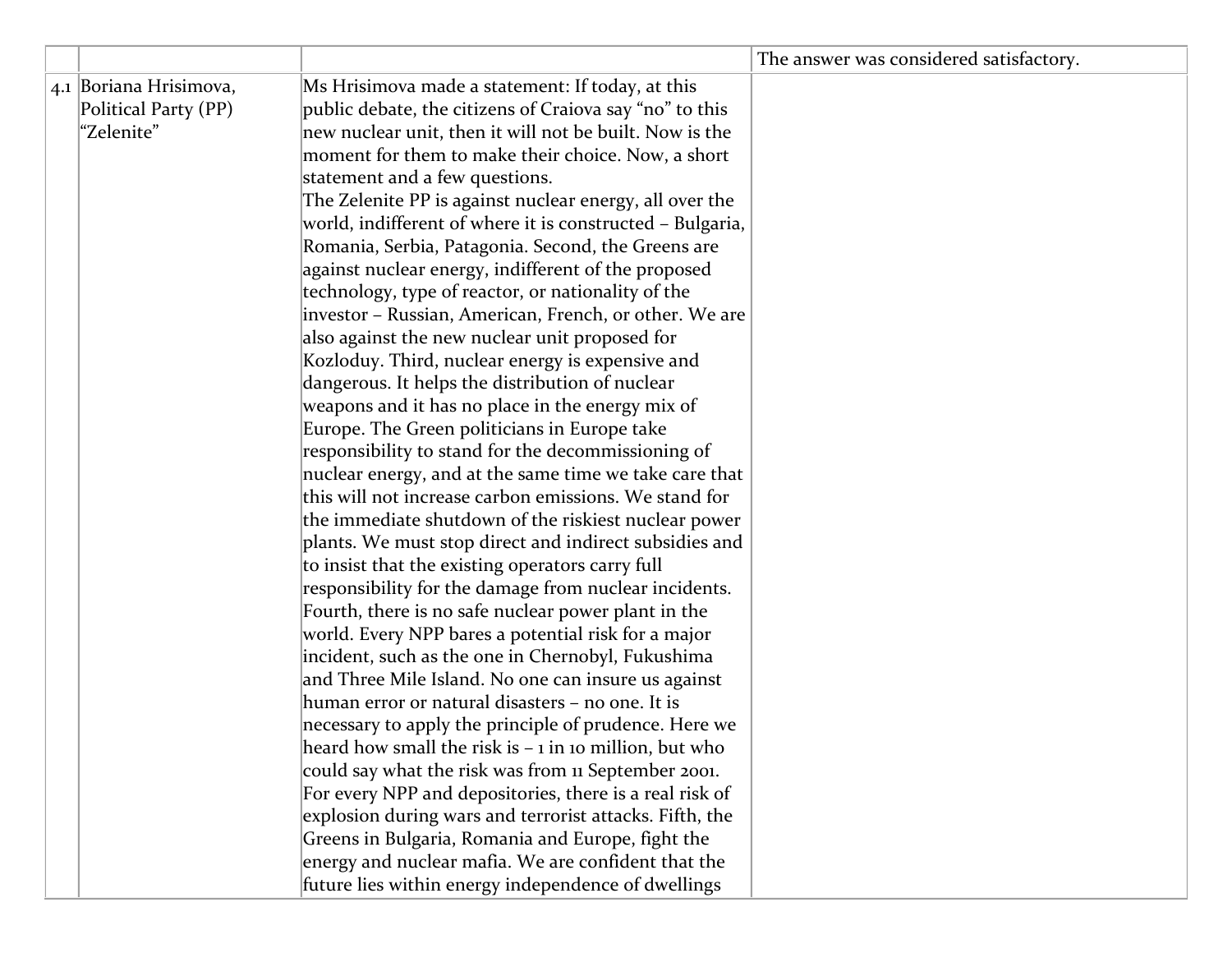|                        |                                                           | The answer was considered satisfactory. |
|------------------------|-----------------------------------------------------------|-----------------------------------------|
| 4.1 Boriana Hrisimova, | Ms Hrisimova made a statement: If today, at this          |                                         |
| Political Party (PP)   | public debate, the citizens of Craiova say "no" to this   |                                         |
| "Zelenite"             | new nuclear unit, then it will not be built. Now is the   |                                         |
|                        | moment for them to make their choice. Now, a short        |                                         |
|                        | statement and a few questions.                            |                                         |
|                        | The Zelenite PP is against nuclear energy, all over the   |                                         |
|                        | world, indifferent of where it is constructed - Bulgaria, |                                         |
|                        | Romania, Serbia, Patagonia. Second, the Greens are        |                                         |
|                        | against nuclear energy, indifferent of the proposed       |                                         |
|                        | technology, type of reactor, or nationality of the        |                                         |
|                        | investor - Russian, American, French, or other. We are    |                                         |
|                        | also against the new nuclear unit proposed for            |                                         |
|                        | Kozloduy. Third, nuclear energy is expensive and          |                                         |
|                        | dangerous. It helps the distribution of nuclear           |                                         |
|                        | weapons and it has no place in the energy mix of          |                                         |
|                        | Europe. The Green politicians in Europe take              |                                         |
|                        | responsibility to stand for the decommissioning of        |                                         |
|                        | nuclear energy, and at the same time we take care that    |                                         |
|                        | this will not increase carbon emissions. We stand for     |                                         |
|                        | the immediate shutdown of the riskiest nuclear power      |                                         |
|                        | plants. We must stop direct and indirect subsidies and    |                                         |
|                        | to insist that the existing operators carry full          |                                         |
|                        | responsibility for the damage from nuclear incidents.     |                                         |
|                        | Fourth, there is no safe nuclear power plant in the       |                                         |
|                        | world. Every NPP bares a potential risk for a major       |                                         |
|                        | incident, such as the one in Chernobyl, Fukushima         |                                         |
|                        | and Three Mile Island. No one can insure us against       |                                         |
|                        | human error or natural disasters - no one. It is          |                                         |
|                        | necessary to apply the principle of prudence. Here we     |                                         |
|                        | heard how small the risk is $-1$ in 10 million, but who   |                                         |
|                        | could say what the risk was from 11 September 2001.       |                                         |
|                        | For every NPP and depositories, there is a real risk of   |                                         |
|                        | explosion during wars and terrorist attacks. Fifth, the   |                                         |
|                        | Greens in Bulgaria, Romania and Europe, fight the         |                                         |
|                        | energy and nuclear mafia. We are confident that the       |                                         |
|                        | future lies within energy independence of dwellings       |                                         |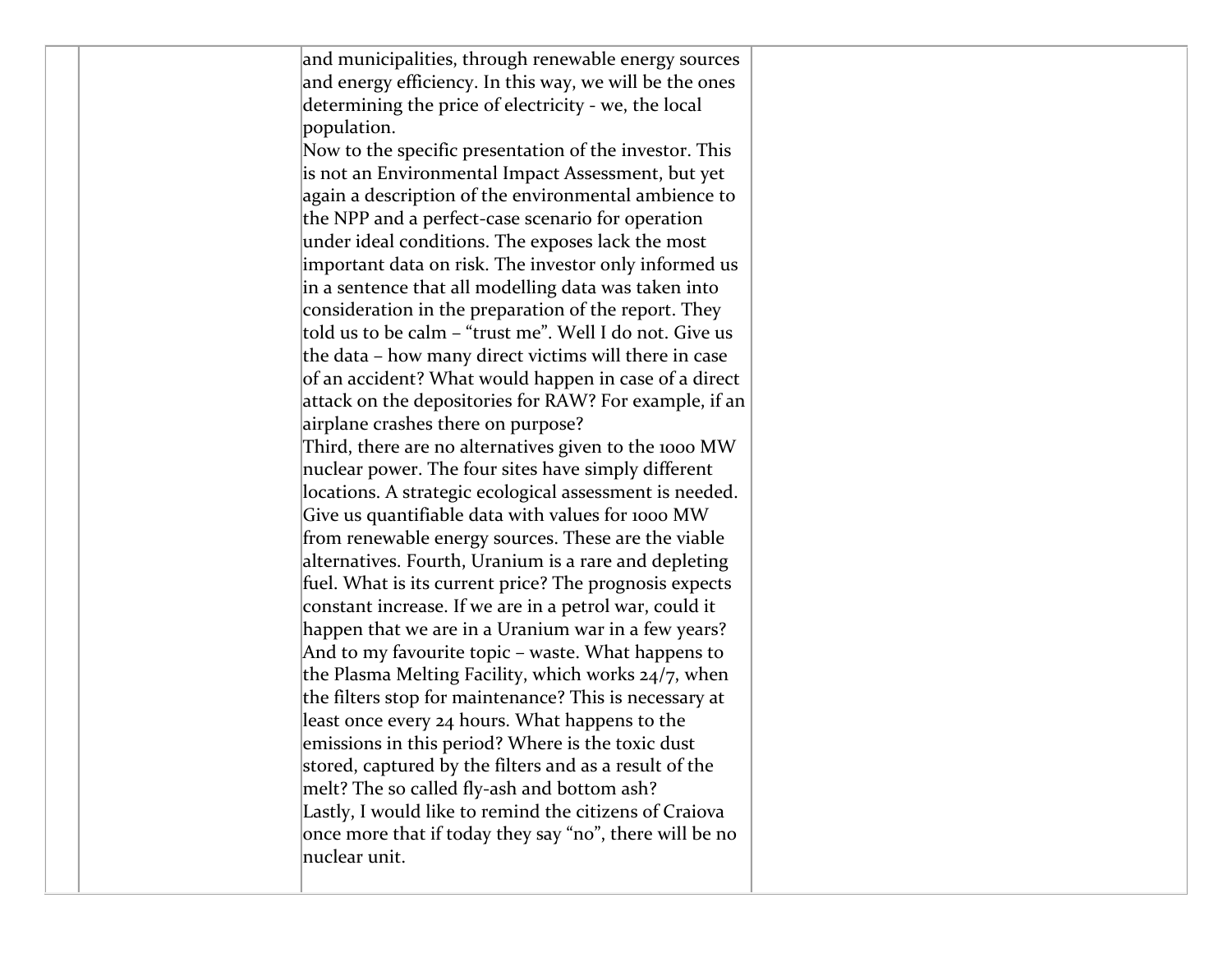and municipalities, through renewable energy sources and energy efficiency. In this way, we will be the ones determining the price of electricity - we, the local population.

Now to the specific presentation of the investor. This is not an Environmental Impact Assessment, but yet again a description of the environmental ambience to the NPP and a perfect-case scenario for operation under ideal conditions. The exposes lack the most important data on risk. The investor only informed us in a sentence that all modelling data was taken into consideration in the preparation of the report. They told us to be calm – "trust me". Well I do not. Give us the data – how many direct victims will there in case of an accident? What would happen in case of a direct attack on the depositories for RAW? For example, if an airplane crashes there on purpose?

Third, there are no alternatives given to the 1000 MW nuclear power. The four sites have simply different locations. A strategic ecological assessment is needed. Give us quantifiable data with values for 1000 MW from renewable energy sources. These are the viable alternatives. Fourth, Uranium is a rare and depleting fuel. What is its current price? The prognosis expects constant increase. If we are in a petrol war, could it happen that we are in a Uranium war in a few years? And to my favourite topic – waste. What happens to the Plasma Melting Facility, which works 24/7, when the filters stop for maintenance? This is necessary at least once every 24 hours. What happens to the emissions in this period? Where is the toxic dust stored, captured by the filters and as a result of the melt? The so called fly-ash and bottom ash? Lastly, I would like to remind the citizens of Craiova once more that if today they say "no", there will be no nuclear unit.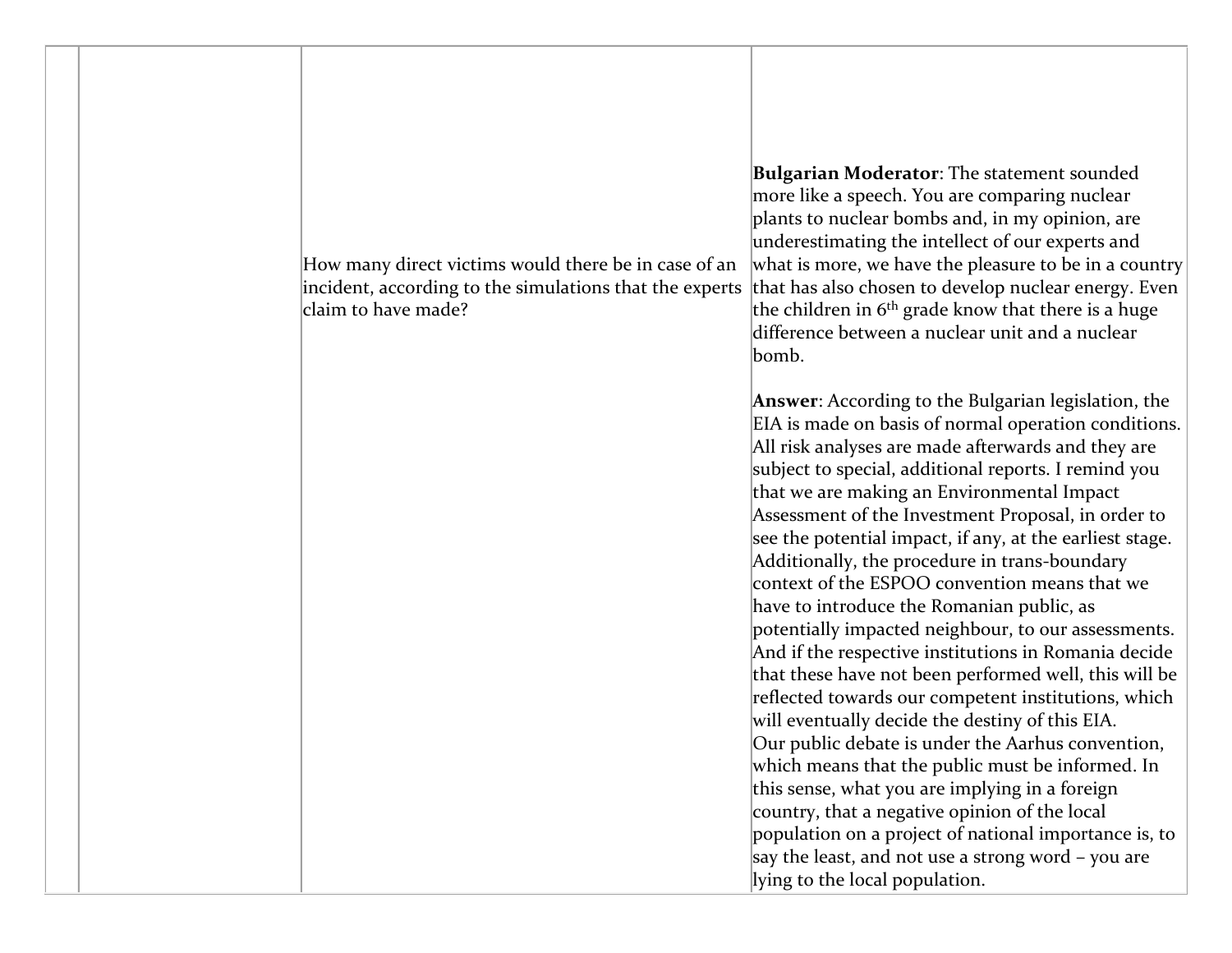

**Bulgarian Moderator**: The statement sounded more like a speech. You are comparing nuclear plants to nuclear bombs and, in my opinion, are underestimating the intellect of our experts and what is more, we have the pleasure to be in a country that has also chosen to develop nuclear energy. Even the children in  $6<sup>th</sup>$  grade know that there is a huge difference between a nuclear unit and a nuclear bomb.

**Answer**: According to the Bulgarian legislation, the EIA is made on basis of normal operation conditions. All risk analyses are made afterwards and they are subject to special, additional reports. I remind you that we are making an Environmental Impact Assessment of the Investment Proposal, in order to see the potential impact, if any, at the earliest stage. Additionally, the procedure in trans-boundary context of the ESPOO convention means that we have to introduce the Romanian public, as potentially impacted neighbour, to our assessments. And if the respective institutions in Romania decide that these have not been performed well, this will be reflected towards our competent institutions, which will eventually decide the destiny of this EIA. Our public debate is under the Aarhus convention, which means that the public must be informed. In this sense, what you are implying in a foreign country, that a negative opinion of the local population on a project of national importance is, to say the least, and not use a strong word – you are lying to the local population.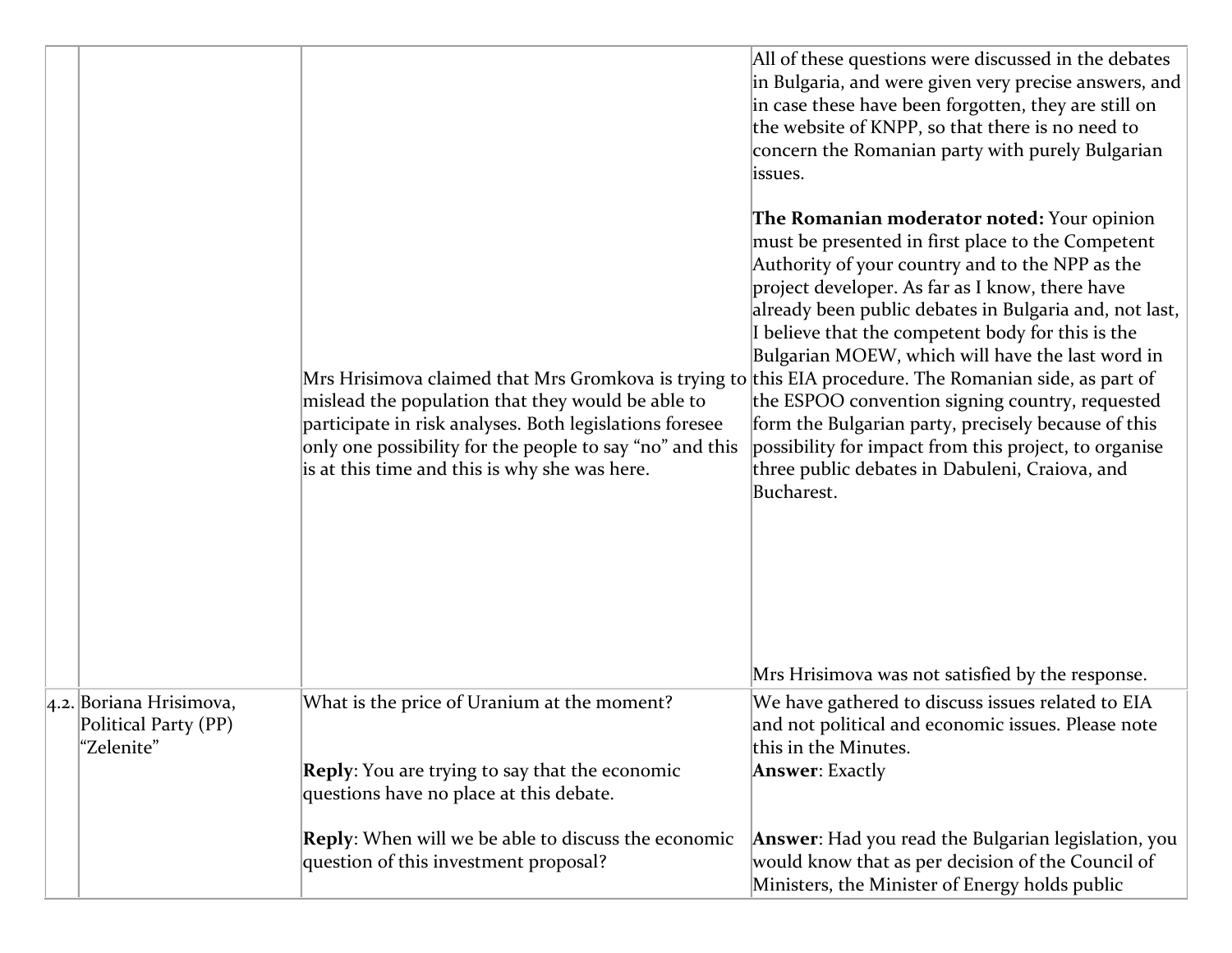|                                                               | Mrs Hrisimova claimed that Mrs Gromkova is trying to this EIA procedure. The Romanian side, as part of<br>mislead the population that they would be able to<br>participate in risk analyses. Both legislations foresee<br>only one possibility for the people to say "no" and this<br>is at this time and this is why she was here. | All of these questions were discussed in the debates<br>in Bulgaria, and were given very precise answers, and<br>in case these have been forgotten, they are still on<br>the website of KNPP, so that there is no need to<br>concern the Romanian party with purely Bulgarian<br>issues.<br>The Romanian moderator noted: Your opinion<br>must be presented in first place to the Competent<br>Authority of your country and to the NPP as the<br>project developer. As far as I know, there have<br>already been public debates in Bulgaria and, not last,<br>I believe that the competent body for this is the<br>Bulgarian MOEW, which will have the last word in<br>the ESPOO convention signing country, requested<br>form the Bulgarian party, precisely because of this<br>possibility for impact from this project, to organise<br>three public debates in Dabuleni, Craiova, and<br>Bucharest.<br>Mrs Hrisimova was not satisfied by the response. |
|---------------------------------------------------------------|-------------------------------------------------------------------------------------------------------------------------------------------------------------------------------------------------------------------------------------------------------------------------------------------------------------------------------------|-------------------------------------------------------------------------------------------------------------------------------------------------------------------------------------------------------------------------------------------------------------------------------------------------------------------------------------------------------------------------------------------------------------------------------------------------------------------------------------------------------------------------------------------------------------------------------------------------------------------------------------------------------------------------------------------------------------------------------------------------------------------------------------------------------------------------------------------------------------------------------------------------------------------------------------------------------------|
| 4.2. Boriana Hrisimova,<br>Political Party (PP)<br>"Zelenite" | What is the price of Uranium at the moment?                                                                                                                                                                                                                                                                                         | We have gathered to discuss issues related to EIA<br>and not political and economic issues. Please note<br>this in the Minutes.                                                                                                                                                                                                                                                                                                                                                                                                                                                                                                                                                                                                                                                                                                                                                                                                                             |
|                                                               | <b>Reply:</b> You are trying to say that the economic<br>questions have no place at this debate.                                                                                                                                                                                                                                    | <b>Answer</b> : Exactly                                                                                                                                                                                                                                                                                                                                                                                                                                                                                                                                                                                                                                                                                                                                                                                                                                                                                                                                     |
|                                                               | <b>Reply:</b> When will we be able to discuss the economic<br>question of this investment proposal?                                                                                                                                                                                                                                 | <b>Answer:</b> Had you read the Bulgarian legislation, you<br>would know that as per decision of the Council of<br>Ministers, the Minister of Energy holds public                                                                                                                                                                                                                                                                                                                                                                                                                                                                                                                                                                                                                                                                                                                                                                                           |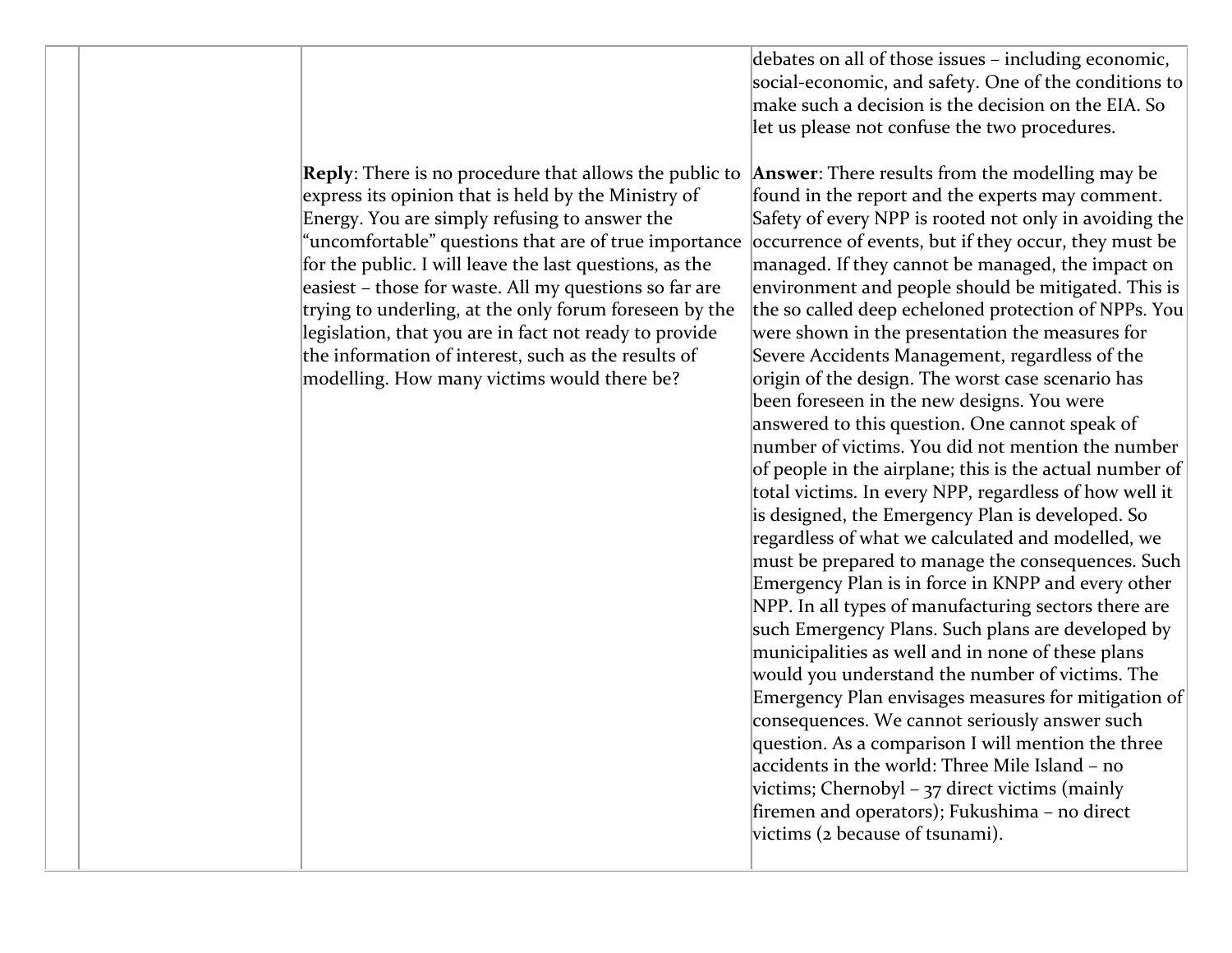debates on all of those issues – including economic, social-economic, and safety. One of the conditions to make such a decision is the decision on the EIA. So let us please not confuse the two procedures.

**Reply**: There is no procedure that allows the public to express its opinion that is held by the Ministry of Energy. You are simply refusing to answer the "uncomfortable" questions that are of true importance for the public. I will leave the last questions, as the easiest – those for waste. All my questions so far are trying to underling, at the only forum foreseen by the legislation, that you are in fact not ready to provide the information of interest, such as the results of modelling. How many victims would there be?

**Answer**: There results from the modelling may be found in the report and the experts may comment. Safety of every NPP is rooted not only in avoiding the occurrence of events, but if they occur, they must be managed. If they cannot be managed, the impact on environment and people should be mitigated. This is the so called deep echeloned protection of NPPs. You were shown in the presentation the measures for Severe Accidents Management, regardless of the origin of the design. The worst case scenario has been foreseen in the new designs. You were answered to this question. One cannot speak of number of victims. You did not mention the number of people in the airplane; this is the actual number of total victims. In every NPP, regardless of how well it is designed, the Emergency Plan is developed. So regardless of what we calculated and modelled, we must be prepared to manage the consequences. Such Emergency Plan is in force in KNPP and every other NPP. In all types of manufacturing sectors there are such Emergency Plans. Such plans are developed by municipalities as well and in none of these plans would you understand the number of victims. The Emergency Plan envisages measures for mitigation of consequences. We cannot seriously answer such question. As a comparison I will mention the three accidents in the world: Three Mile Island – no victims; Chernobyl – 37 direct victims (mainly firemen and operators); Fukushima – no direct victims (2 because of tsunami).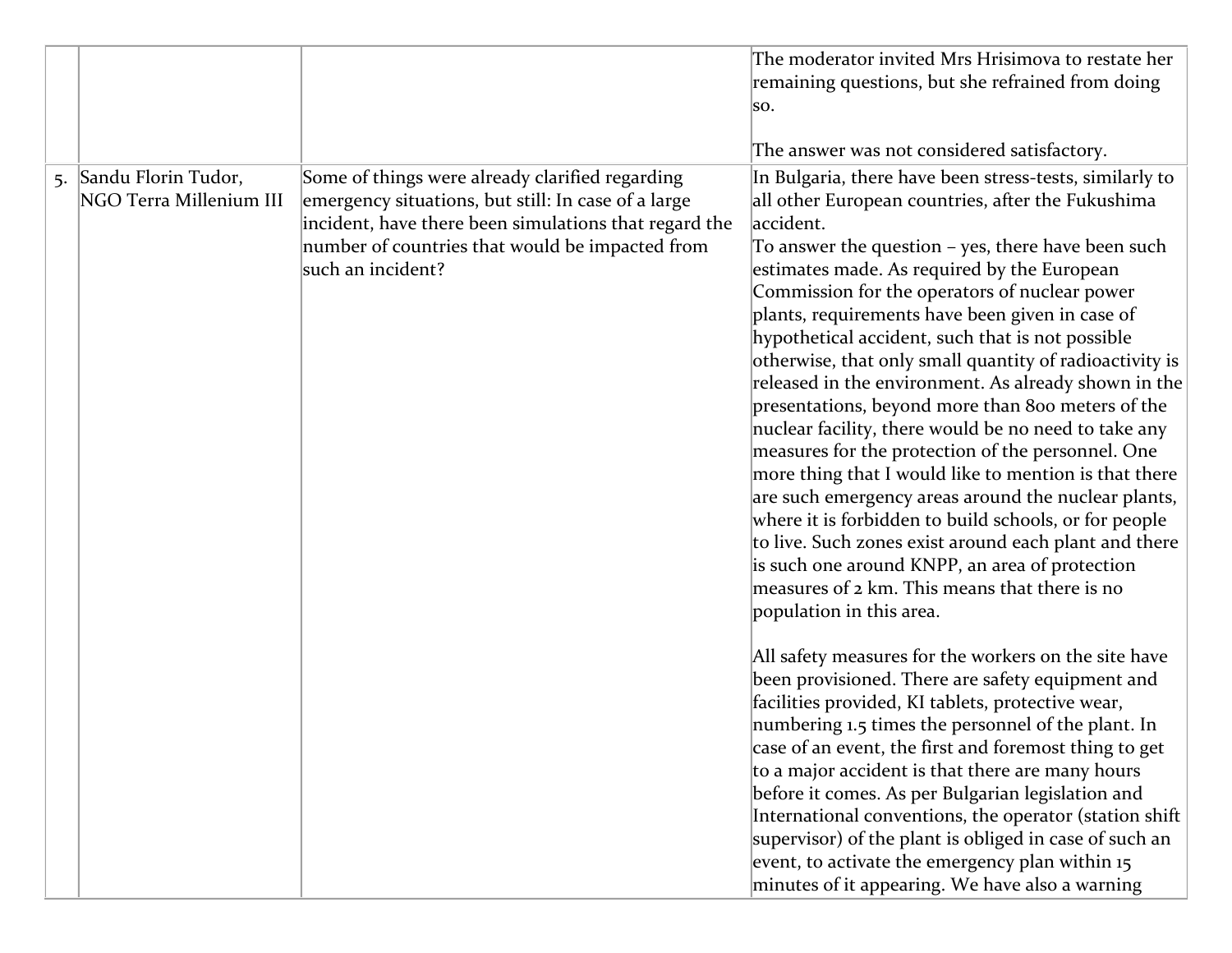|    |                                                |                                                                                                                                                                                                                                         | The moderator invited Mrs Hrisimova to restate her<br>remaining questions, but she refrained from doing<br>SO.<br>The answer was not considered satisfactory.                                                                                                                                                                                                                                                                                                                                                                                                                                                                                                                                                                                                                                                                                                                                                                                                                                                                                                                                                                                                                                                                                                                                                                                                                                                                                                                                                                                                                                                                                                   |
|----|------------------------------------------------|-----------------------------------------------------------------------------------------------------------------------------------------------------------------------------------------------------------------------------------------|-----------------------------------------------------------------------------------------------------------------------------------------------------------------------------------------------------------------------------------------------------------------------------------------------------------------------------------------------------------------------------------------------------------------------------------------------------------------------------------------------------------------------------------------------------------------------------------------------------------------------------------------------------------------------------------------------------------------------------------------------------------------------------------------------------------------------------------------------------------------------------------------------------------------------------------------------------------------------------------------------------------------------------------------------------------------------------------------------------------------------------------------------------------------------------------------------------------------------------------------------------------------------------------------------------------------------------------------------------------------------------------------------------------------------------------------------------------------------------------------------------------------------------------------------------------------------------------------------------------------------------------------------------------------|
| 5. | Sandu Florin Tudor,<br>NGO Terra Millenium III | Some of things were already clarified regarding<br>emergency situations, but still: In case of a large<br>incident, have there been simulations that regard the<br>number of countries that would be impacted from<br>such an incident? | In Bulgaria, there have been stress-tests, similarly to<br>all other European countries, after the Fukushima<br>accident.<br>To answer the question - yes, there have been such<br>estimates made. As required by the European<br>Commission for the operators of nuclear power<br>plants, requirements have been given in case of<br>hypothetical accident, such that is not possible<br>otherwise, that only small quantity of radioactivity is<br>released in the environment. As already shown in the<br>presentations, beyond more than 800 meters of the<br>nuclear facility, there would be no need to take any<br>measures for the protection of the personnel. One<br>more thing that I would like to mention is that there<br>are such emergency areas around the nuclear plants,<br>where it is forbidden to build schools, or for people<br>to live. Such zones exist around each plant and there<br>is such one around KNPP, an area of protection<br>measures of 2 km. This means that there is no<br>population in this area.<br>All safety measures for the workers on the site have<br>been provisioned. There are safety equipment and<br>facilities provided, KI tablets, protective wear,<br>numbering 1.5 times the personnel of the plant. In<br>case of an event, the first and foremost thing to get<br>to a major accident is that there are many hours<br>before it comes. As per Bulgarian legislation and<br>International conventions, the operator (station shift<br>supervisor) of the plant is obliged in case of such an<br>event, to activate the emergency plan within 15<br>minutes of it appearing. We have also a warning |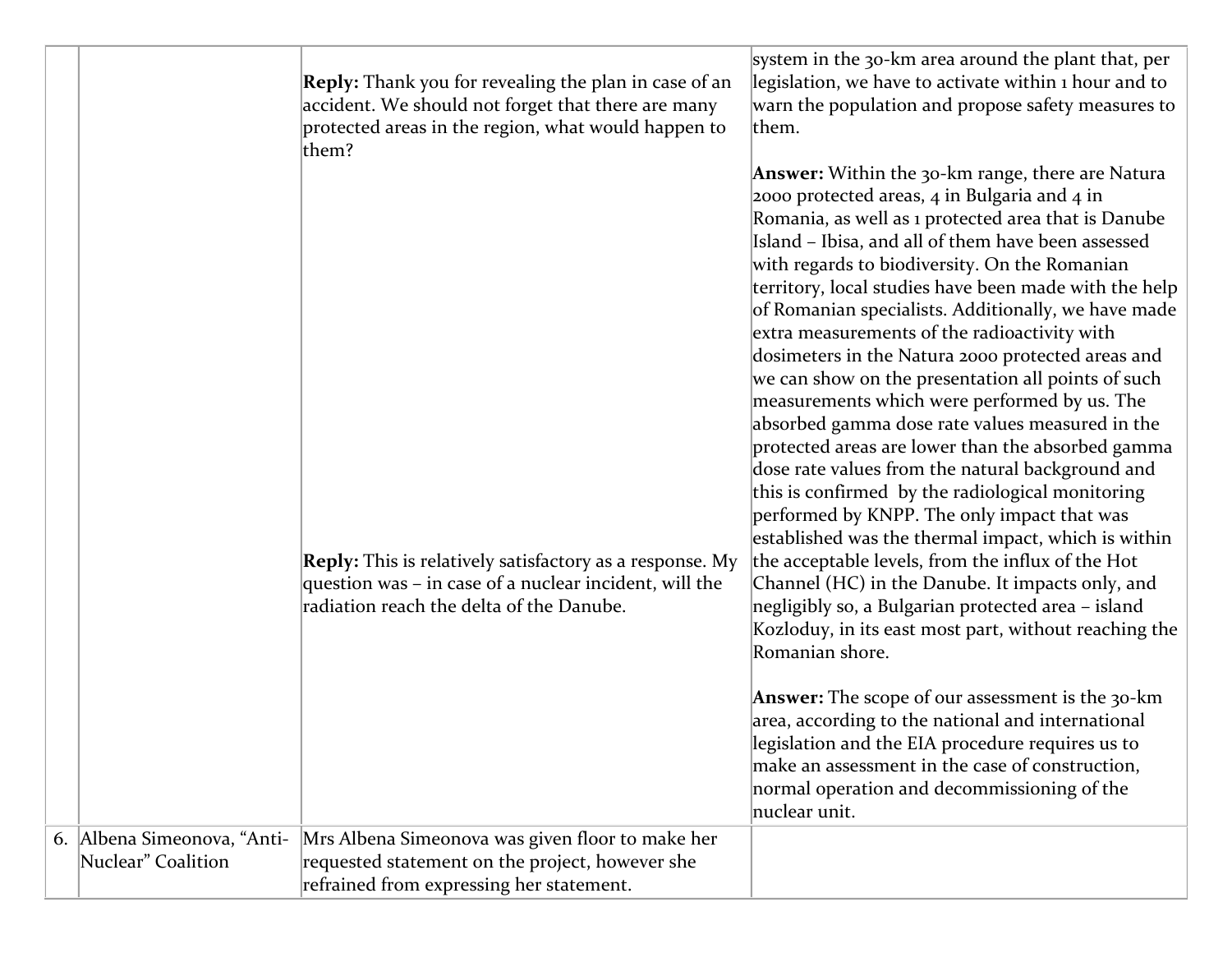|                             | <b>Reply:</b> Thank you for revealing the plan in case of an<br>accident. We should not forget that there are many<br>protected areas in the region, what would happen to<br>them?<br><b>Reply:</b> This is relatively satisfactory as a response. My<br>question was - in case of a nuclear incident, will the<br>radiation reach the delta of the Danube. | system in the 30-km area around the plant that, per<br>legislation, we have to activate within 1 hour and to<br>warn the population and propose safety measures to<br>them.<br><b>Answer:</b> Within the 30-km range, there are Natura<br>2000 protected areas, $4$ in Bulgaria and $4$ in<br>Romania, as well as 1 protected area that is Danube<br>Island - Ibisa, and all of them have been assessed<br>with regards to biodiversity. On the Romanian<br>territory, local studies have been made with the help<br>of Romanian specialists. Additionally, we have made<br>extra measurements of the radioactivity with<br>dosimeters in the Natura 2000 protected areas and<br>we can show on the presentation all points of such<br>measurements which were performed by us. The<br>absorbed gamma dose rate values measured in the<br>protected areas are lower than the absorbed gamma<br>dose rate values from the natural background and<br>this is confirmed by the radiological monitoring<br>performed by KNPP. The only impact that was<br>established was the thermal impact, which is within<br>the acceptable levels, from the influx of the Hot<br>Channel (HC) in the Danube. It impacts only, and<br>negligibly so, a Bulgarian protected area - island<br>Kozloduy, in its east most part, without reaching the<br>Romanian shore.<br><b>Answer:</b> The scope of our assessment is the 30-km<br>area, according to the national and international<br>legislation and the EIA procedure requires us to<br>make an assessment in the case of construction,<br>normal operation and decommissioning of the |
|-----------------------------|-------------------------------------------------------------------------------------------------------------------------------------------------------------------------------------------------------------------------------------------------------------------------------------------------------------------------------------------------------------|----------------------------------------------------------------------------------------------------------------------------------------------------------------------------------------------------------------------------------------------------------------------------------------------------------------------------------------------------------------------------------------------------------------------------------------------------------------------------------------------------------------------------------------------------------------------------------------------------------------------------------------------------------------------------------------------------------------------------------------------------------------------------------------------------------------------------------------------------------------------------------------------------------------------------------------------------------------------------------------------------------------------------------------------------------------------------------------------------------------------------------------------------------------------------------------------------------------------------------------------------------------------------------------------------------------------------------------------------------------------------------------------------------------------------------------------------------------------------------------------------------------------------------------------------------------------------------------------------------------------------|
|                             |                                                                                                                                                                                                                                                                                                                                                             | nuclear unit.                                                                                                                                                                                                                                                                                                                                                                                                                                                                                                                                                                                                                                                                                                                                                                                                                                                                                                                                                                                                                                                                                                                                                                                                                                                                                                                                                                                                                                                                                                                                                                                                              |
| 6. Albena Simeonova, "Anti- | Mrs Albena Simeonova was given floor to make her                                                                                                                                                                                                                                                                                                            |                                                                                                                                                                                                                                                                                                                                                                                                                                                                                                                                                                                                                                                                                                                                                                                                                                                                                                                                                                                                                                                                                                                                                                                                                                                                                                                                                                                                                                                                                                                                                                                                                            |
| Nuclear" Coalition          | requested statement on the project, however she                                                                                                                                                                                                                                                                                                             |                                                                                                                                                                                                                                                                                                                                                                                                                                                                                                                                                                                                                                                                                                                                                                                                                                                                                                                                                                                                                                                                                                                                                                                                                                                                                                                                                                                                                                                                                                                                                                                                                            |
|                             | refrained from expressing her statement.                                                                                                                                                                                                                                                                                                                    |                                                                                                                                                                                                                                                                                                                                                                                                                                                                                                                                                                                                                                                                                                                                                                                                                                                                                                                                                                                                                                                                                                                                                                                                                                                                                                                                                                                                                                                                                                                                                                                                                            |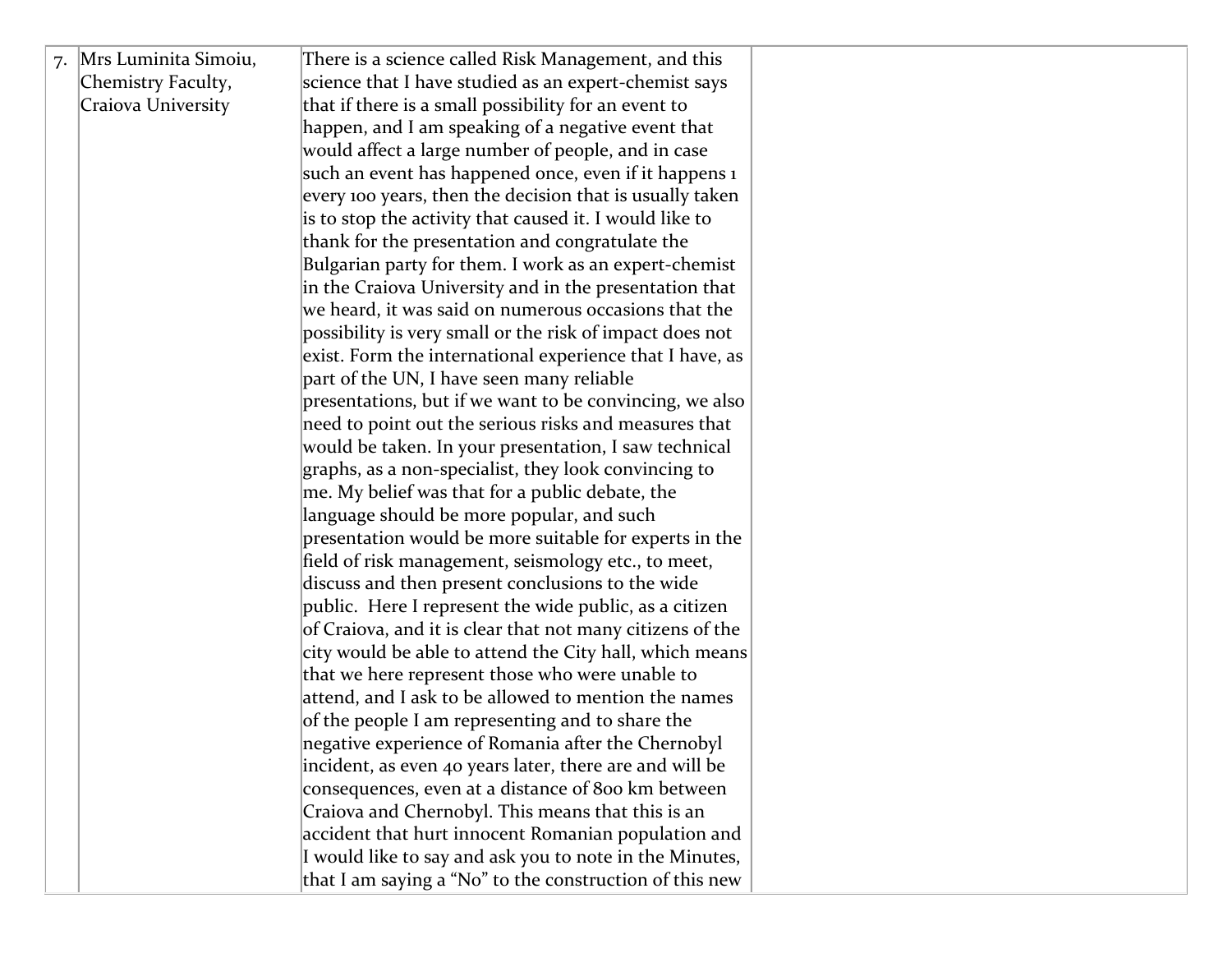| 7. Mrs Luminita Simoiu, | There is a science called Risk Management, and this       |  |
|-------------------------|-----------------------------------------------------------|--|
| Chemistry Faculty,      | science that I have studied as an expert-chemist says     |  |
| Craiova University      | that if there is a small possibility for an event to      |  |
|                         | happen, and I am speaking of a negative event that        |  |
|                         | would affect a large number of people, and in case        |  |
|                         | such an event has happened once, even if it happens 1     |  |
|                         | every 100 years, then the decision that is usually taken  |  |
|                         | is to stop the activity that caused it. I would like to   |  |
|                         | thank for the presentation and congratulate the           |  |
|                         | Bulgarian party for them. I work as an expert-chemist     |  |
|                         | in the Craiova University and in the presentation that    |  |
|                         | we heard, it was said on numerous occasions that the      |  |
|                         | possibility is very small or the risk of impact does not  |  |
|                         | exist. Form the international experience that I have, as  |  |
|                         | part of the UN, I have seen many reliable                 |  |
|                         | presentations, but if we want to be convincing, we also   |  |
|                         | need to point out the serious risks and measures that     |  |
|                         | would be taken. In your presentation, I saw technical     |  |
|                         | graphs, as a non-specialist, they look convincing to      |  |
|                         | me. My belief was that for a public debate, the           |  |
|                         | language should be more popular, and such                 |  |
|                         | presentation would be more suitable for experts in the    |  |
|                         | field of risk management, seismology etc., to meet,       |  |
|                         | discuss and then present conclusions to the wide          |  |
|                         | public. Here I represent the wide public, as a citizen    |  |
|                         | of Craiova, and it is clear that not many citizens of the |  |
|                         | city would be able to attend the City hall, which means   |  |
|                         | that we here represent those who were unable to           |  |
|                         | attend, and I ask to be allowed to mention the names      |  |
|                         | of the people I am representing and to share the          |  |
|                         | negative experience of Romania after the Chernobyl        |  |
|                         | incident, as even 40 years later, there are and will be   |  |
|                         | consequences, even at a distance of 800 km between        |  |
|                         | Craiova and Chernobyl. This means that this is an         |  |
|                         | accident that hurt innocent Romanian population and       |  |
|                         | I would like to say and ask you to note in the Minutes,   |  |
|                         | that I am saying a "No" to the construction of this new   |  |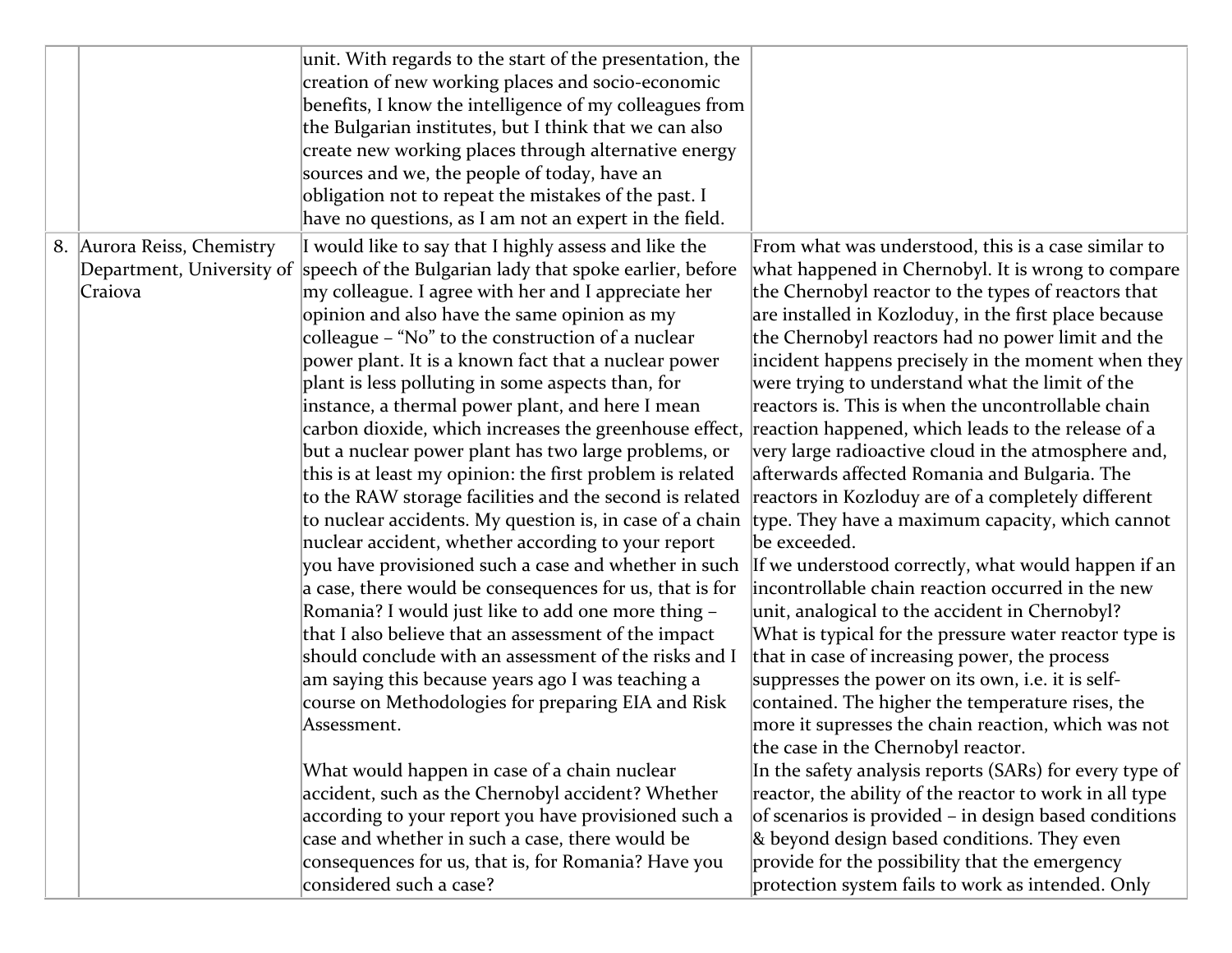|                                       | unit. With regards to the start of the presentation, the<br>creation of new working places and socio-economic<br>benefits, I know the intelligence of my colleagues from<br>the Bulgarian institutes, but I think that we can also<br>create new working places through alternative energy<br>sources and we, the people of today, have an<br>obligation not to repeat the mistakes of the past. I<br>have no questions, as I am not an expert in the field.                                                                                                                                                                                                                                                                                                                                                                                                                                                                                                                                                                                                                                                                                                                                                                                                                                                                                                                                                                                                                                                                                                     |                                                                                                                                                                                                                                                                                                                                                                                                                                                                                                                                                                                                                                                                                                                                                                                                                                                                                                                                                                                                                                                                                                                                                                                                                                                                                                                                                                                                                                                                                                                                                           |
|---------------------------------------|------------------------------------------------------------------------------------------------------------------------------------------------------------------------------------------------------------------------------------------------------------------------------------------------------------------------------------------------------------------------------------------------------------------------------------------------------------------------------------------------------------------------------------------------------------------------------------------------------------------------------------------------------------------------------------------------------------------------------------------------------------------------------------------------------------------------------------------------------------------------------------------------------------------------------------------------------------------------------------------------------------------------------------------------------------------------------------------------------------------------------------------------------------------------------------------------------------------------------------------------------------------------------------------------------------------------------------------------------------------------------------------------------------------------------------------------------------------------------------------------------------------------------------------------------------------|-----------------------------------------------------------------------------------------------------------------------------------------------------------------------------------------------------------------------------------------------------------------------------------------------------------------------------------------------------------------------------------------------------------------------------------------------------------------------------------------------------------------------------------------------------------------------------------------------------------------------------------------------------------------------------------------------------------------------------------------------------------------------------------------------------------------------------------------------------------------------------------------------------------------------------------------------------------------------------------------------------------------------------------------------------------------------------------------------------------------------------------------------------------------------------------------------------------------------------------------------------------------------------------------------------------------------------------------------------------------------------------------------------------------------------------------------------------------------------------------------------------------------------------------------------------|
| 8. Aurora Reiss, Chemistry<br>Craiova | I would like to say that I highly assess and like the<br>Department, University of speech of the Bulgarian lady that spoke earlier, before<br>my colleague. I agree with her and I appreciate her<br>opinion and also have the same opinion as my<br>colleague – "No" to the construction of a nuclear<br>power plant. It is a known fact that a nuclear power<br>plant is less polluting in some aspects than, for<br>instance, a thermal power plant, and here I mean<br>carbon dioxide, which increases the greenhouse effect,<br>but a nuclear power plant has two large problems, or<br>this is at least my opinion: the first problem is related<br>to the RAW storage facilities and the second is related<br>to nuclear accidents. My question is, in case of a chain<br>nuclear accident, whether according to your report<br>you have provisioned such a case and whether in such<br>$\alpha$ case, there would be consequences for us, that is for<br>Romania? I would just like to add one more thing -<br>that I also believe that an assessment of the impact<br>should conclude with an assessment of the risks and I<br>am saying this because years ago I was teaching a<br>course on Methodologies for preparing EIA and Risk<br>Assessment.<br>What would happen in case of a chain nuclear<br>accident, such as the Chernobyl accident? Whether<br>according to your report you have provisioned such a<br>case and whether in such a case, there would be<br>consequences for us, that is, for Romania? Have you<br>considered such a case? | From what was understood, this is a case similar to<br>what happened in Chernobyl. It is wrong to compare<br>the Chernobyl reactor to the types of reactors that<br>are installed in Kozloduy, in the first place because<br>the Chernobyl reactors had no power limit and the<br>incident happens precisely in the moment when they<br>were trying to understand what the limit of the<br>reactors is. This is when the uncontrollable chain<br>reaction happened, which leads to the release of a<br>very large radioactive cloud in the atmosphere and,<br>afterwards affected Romania and Bulgaria. The<br>reactors in Kozloduy are of a completely different<br>type. They have a maximum capacity, which cannot<br>be exceeded.<br>If we understood correctly, what would happen if an<br>incontrollable chain reaction occurred in the new<br>unit, analogical to the accident in Chernobyl?<br>What is typical for the pressure water reactor type is<br>that in case of increasing power, the process<br>suppresses the power on its own, i.e. it is self-<br>contained. The higher the temperature rises, the<br>more it supresses the chain reaction, which was not<br>the case in the Chernobyl reactor.<br>In the safety analysis reports (SARs) for every type of<br>reactor, the ability of the reactor to work in all type<br>of scenarios is provided - in design based conditions<br>& beyond design based conditions. They even<br>provide for the possibility that the emergency<br>protection system fails to work as intended. Only |